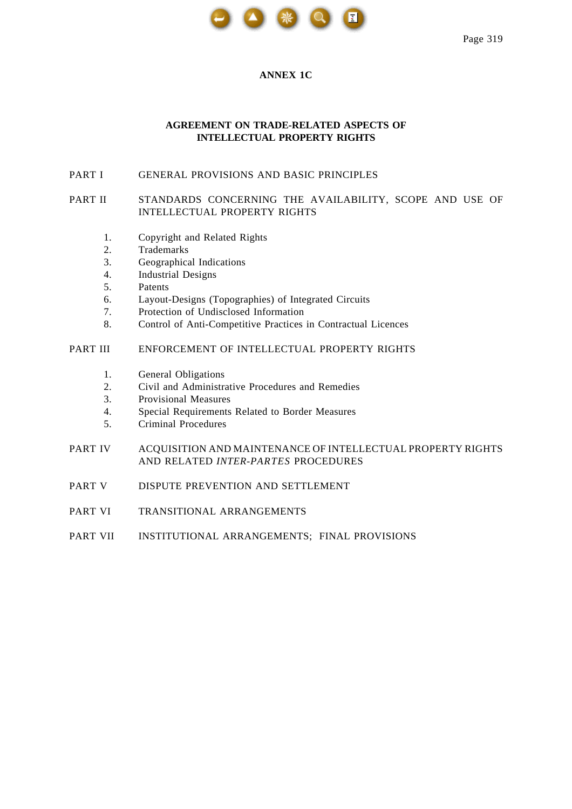

Page 319

# **ANNEX 1C**

# **AGREEMENT ON TRADE-RELATED ASPECTS OF INTELLECTUAL PROPERTY RIGHTS**

# PART I GENERAL PROVISIONS AND BASIC PRINCIPLES

# PART II STANDARDS CONCERNING THE AVAILABILITY, SCOPE AND USE OF INTELLECTUAL PROPERTY RIGHTS

- 1. Copyright and Related Rights
- 2. Trademarks
- 3. Geographical Indications
- 4. Industrial Designs
- 5. Patents
- 6. Layout-Designs (Topographies) of Integrated Circuits
- 7. Protection of Undisclosed Information
- 8. Control of Anti-Competitive Practices in Contractual Licences

### PART III ENFORCEMENT OF INTELLECTUAL PROPERTY RIGHTS

- 1. General Obligations
- 2. Civil and Administrative Procedures and Remedies
- 3. Provisional Measures
- 4. Special Requirements Related to Border Measures
- 5. Criminal Procedures
- PART IV ACQUISITION AND MAINTENANCE OF INTELLECTUAL PROPERTY RIGHTS AND RELATED *INTER-PARTES* PROCEDURES
- PART V DISPUTE PREVENTION AND SETTLEMENT
- PART VI TRANSITIONAL ARRANGEMENTS
- PART VII INSTITUTIONAL ARRANGEMENTS; FINAL PROVISIONS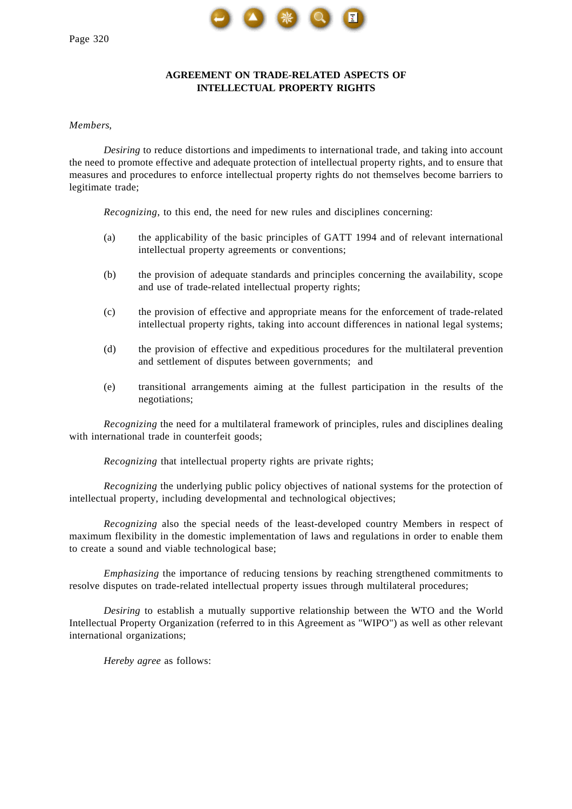

# **AGREEMENT ON TRADE-RELATED ASPECTS OF INTELLECTUAL PROPERTY RIGHTS**

# *Members,*

*Desiring* to reduce distortions and impediments to international trade, and taking into account the need to promote effective and adequate protection of intellectual property rights, and to ensure that measures and procedures to enforce intellectual property rights do not themselves become barriers to legitimate trade;

*Recognizing*, to this end, the need for new rules and disciplines concerning:

- (a) the applicability of the basic principles of GATT 1994 and of relevant international intellectual property agreements or conventions;
- (b) the provision of adequate standards and principles concerning the availability, scope and use of trade-related intellectual property rights;
- (c) the provision of effective and appropriate means for the enforcement of trade-related intellectual property rights, taking into account differences in national legal systems;
- (d) the provision of effective and expeditious procedures for the multilateral prevention and settlement of disputes between governments; and
- (e) transitional arrangements aiming at the fullest participation in the results of the negotiations;

*Recognizing* the need for a multilateral framework of principles, rules and disciplines dealing with international trade in counterfeit goods;

*Recognizing* that intellectual property rights are private rights;

*Recognizing* the underlying public policy objectives of national systems for the protection of intellectual property, including developmental and technological objectives;

*Recognizing* also the special needs of the least-developed country Members in respect of maximum flexibility in the domestic implementation of laws and regulations in order to enable them to create a sound and viable technological base;

*Emphasizing* the importance of reducing tensions by reaching strengthened commitments to resolve disputes on trade-related intellectual property issues through multilateral procedures;

*Desiring* to establish a mutually supportive relationship between the WTO and the World Intellectual Property Organization (referred to in this Agreement as "WIPO") as well as other relevant international organizations;

*Hereby agree* as follows: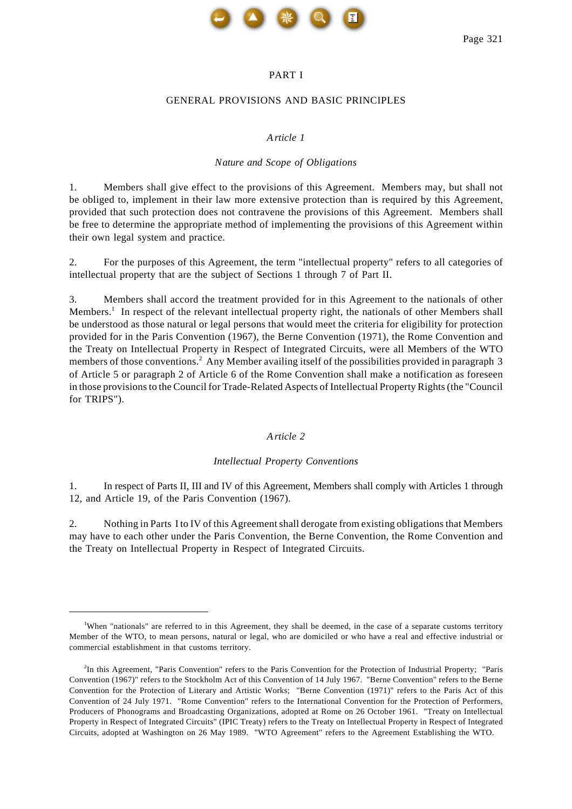

### PART I

# GENERAL PROVISIONS AND BASIC PRINCIPLES

### *Article 1*

# *Nature and Scope of Obligations*

1. Members shall give effect to the provisions of this Agreement. Members may, but shall not be obliged to, implement in their law more extensive protection than is required by this Agreement, provided that such protection does not contravene the provisions of this Agreement. Members shall be free to determine the appropriate method of implementing the provisions of this Agreement within their own legal system and practice.

2. For the purposes of this Agreement, the term "intellectual property" refers to all categories of intellectual property that are the subject of Sections 1 through 7 of Part II.

3. Members shall accord the treatment provided for in this Agreement to the nationals of other Members.<sup>1</sup> In respect of the relevant intellectual property right, the nationals of other Members shall be understood as those natural or legal persons that would meet the criteria for eligibility for protection provided for in the Paris Convention (1967), the Berne Convention (1971), the Rome Convention and the Treaty on Intellectual Property in Respect of Integrated Circuits, were all Members of the WTO members of those conventions.<sup>2</sup> Any Member availing itself of the possibilities provided in paragraph 3 of Article 5 or paragraph 2 of Article 6 of the Rome Convention shall make a notification as foreseen in those provisions to the Council for Trade-Related Aspects of Intellectual Property Rights (the "Council for TRIPS").

### *Article 2*

#### *Intellectual Property Conventions*

1. In respect of Parts II, III and IV of this Agreement, Members shall comply with Articles 1 through 12, and Article 19, of the Paris Convention (1967).

2. Nothing in Parts I to IV of this Agreement shall derogate from existing obligations that Members may have to each other under the Paris Convention, the Berne Convention, the Rome Convention and the Treaty on Intellectual Property in Respect of Integrated Circuits.

<sup>&</sup>lt;sup>1</sup>When "nationals" are referred to in this Agreement, they shall be deemed, in the case of a separate customs territory Member of the WTO, to mean persons, natural or legal, who are domiciled or who have a real and effective industrial or commercial establishment in that customs territory.

<sup>2</sup> In this Agreement, "Paris Convention" refers to the Paris Convention for the Protection of Industrial Property; "Paris Convention (1967)" refers to the Stockholm Act of this Convention of 14 July 1967. "Berne Convention" refers to the Berne Convention for the Protection of Literary and Artistic Works; "Berne Convention (1971)" refers to the Paris Act of this Convention of 24 July 1971. "Rome Convention" refers to the International Convention for the Protection of Performers, Producers of Phonograms and Broadcasting Organizations, adopted at Rome on 26 October 1961. "Treaty on Intellectual Property in Respect of Integrated Circuits" (IPIC Treaty) refers to the Treaty on Intellectual Property in Respect of Integrated Circuits, adopted at Washington on 26 May 1989. "WTO Agreement" refers to the Agreement Establishing the WTO.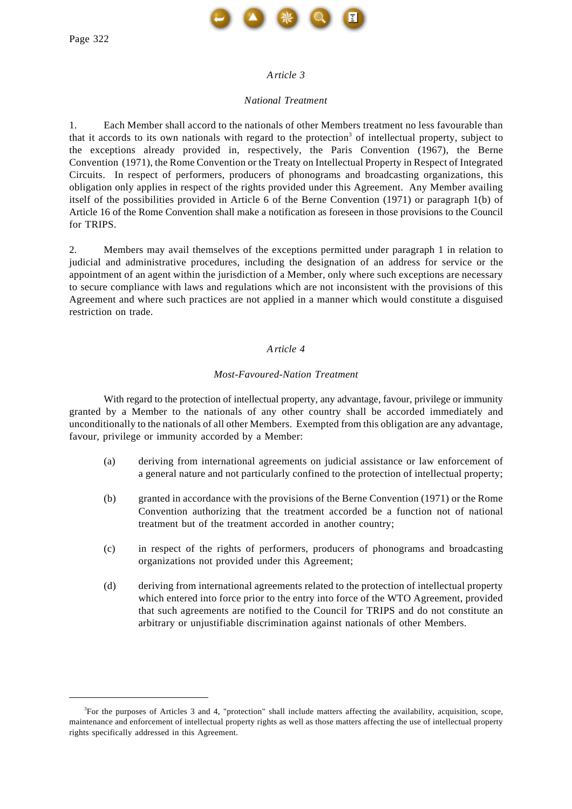

 $\overline{a}$ 

#### *Article 3*

### *National Treatment*

1. Each Member shall accord to the nationals of other Members treatment no less favourable than that it accords to its own nationals with regard to the protection<sup>3</sup> of intellectual property, subject to the exceptions already provided in, respectively, the Paris Convention (1967), the Berne Convention (1971), the Rome Convention or the Treaty on Intellectual Property in Respect of Integrated Circuits. In respect of performers, producers of phonograms and broadcasting organizations, this obligation only applies in respect of the rights provided under this Agreement. Any Member availing itself of the possibilities provided in Article 6 of the Berne Convention (1971) or paragraph 1(b) of Article 16 of the Rome Convention shall make a notification as foreseen in those provisions to the Council for TRIPS.

2. Members may avail themselves of the exceptions permitted under paragraph 1 in relation to judicial and administrative procedures, including the designation of an address for service or the appointment of an agent within the jurisdiction of a Member, only where such exceptions are necessary to secure compliance with laws and regulations which are not inconsistent with the provisions of this Agreement and where such practices are not applied in a manner which would constitute a disguised restriction on trade.

#### *Article 4*

#### *Most-Favoured-Nation Treatment*

With regard to the protection of intellectual property, any advantage, favour, privilege or immunity granted by a Member to the nationals of any other country shall be accorded immediately and unconditionally to the nationals of all other Members. Exempted from this obligation are any advantage, favour, privilege or immunity accorded by a Member:

- (a) deriving from international agreements on judicial assistance or law enforcement of a general nature and not particularly confined to the protection of intellectual property;
- (b) granted in accordance with the provisions of the Berne Convention (1971) or the Rome Convention authorizing that the treatment accorded be a function not of national treatment but of the treatment accorded in another country;
- (c) in respect of the rights of performers, producers of phonograms and broadcasting organizations not provided under this Agreement;
- (d) deriving from international agreements related to the protection of intellectual property which entered into force prior to the entry into force of the WTO Agreement, provided that such agreements are notified to the Council for TRIPS and do not constitute an arbitrary or unjustifiable discrimination against nationals of other Members.

<sup>&</sup>lt;sup>3</sup>For the purposes of Articles 3 and 4, "protection" shall include matters affecting the availability, acquisition, scope, maintenance and enforcement of intellectual property rights as well as those matters affecting the use of intellectual property rights specifically addressed in this Agreement.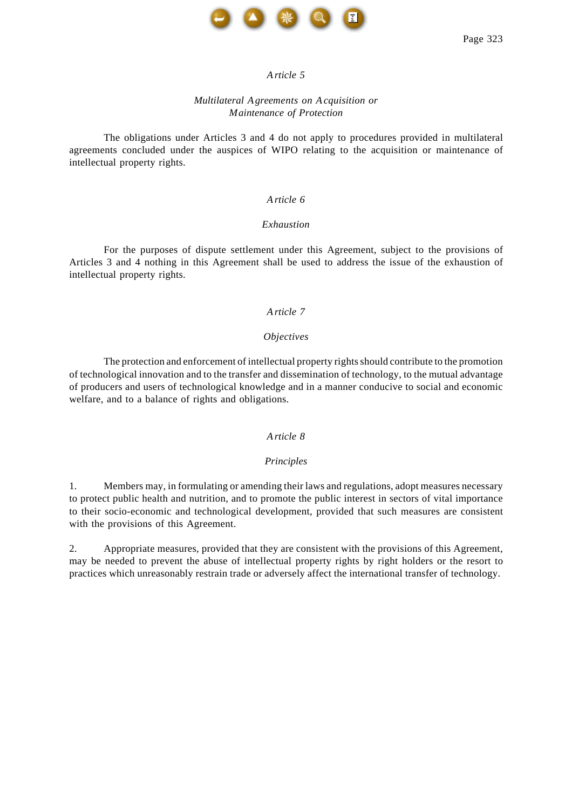

### *Multilateral Agreements on Acquisition or Maintenance of Protection*

The obligations under Articles 3 and 4 do not apply to procedures provided in multilateral agreements concluded under the auspices of WIPO relating to the acquisition or maintenance of intellectual property rights.

# *Article 6*

### *Exhaustion*

For the purposes of dispute settlement under this Agreement, subject to the provisions of Articles 3 and 4 nothing in this Agreement shall be used to address the issue of the exhaustion of intellectual property rights.

### *Article 7*

# *Objectives*

The protection and enforcement of intellectual property rights should contribute to the promotion of technological innovation and to the transfer and dissemination of technology, to the mutual advantage of producers and users of technological knowledge and in a manner conducive to social and economic welfare, and to a balance of rights and obligations.

# *Article 8*

#### *Principles*

1. Members may, in formulating or amending their laws and regulations, adopt measures necessary to protect public health and nutrition, and to promote the public interest in sectors of vital importance to their socio-economic and technological development, provided that such measures are consistent with the provisions of this Agreement.

2. Appropriate measures, provided that they are consistent with the provisions of this Agreement, may be needed to prevent the abuse of intellectual property rights by right holders or the resort to practices which unreasonably restrain trade or adversely affect the international transfer of technology.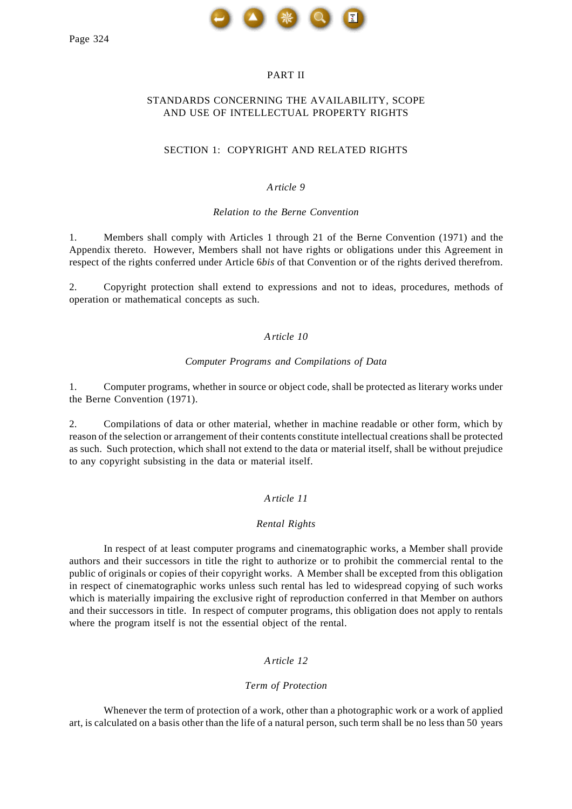

### PART II

# STANDARDS CONCERNING THE AVAILABILITY, SCOPE AND USE OF INTELLECTUAL PROPERTY RIGHTS

# SECTION 1: COPYRIGHT AND RELATED RIGHTS

## *Article 9*

#### *Relation to the Berne Convention*

1. Members shall comply with Articles 1 through 21 of the Berne Convention (1971) and the Appendix thereto. However, Members shall not have rights or obligations under this Agreement in respect of the rights conferred under Article 6*bis* of that Convention or of the rights derived therefrom.

2. Copyright protection shall extend to expressions and not to ideas, procedures, methods of operation or mathematical concepts as such.

### *Article 10*

## *Computer Programs and Compilations of Data*

1. Computer programs, whether in source or object code, shall be protected as literary works under the Berne Convention (1971).

2. Compilations of data or other material, whether in machine readable or other form, which by reason of the selection or arrangement of their contents constitute intellectual creations shall be protected as such. Such protection, which shall not extend to the data or material itself, shall be without prejudice to any copyright subsisting in the data or material itself.

# *Article 11*

# *Rental Rights*

In respect of at least computer programs and cinematographic works, a Member shall provide authors and their successors in title the right to authorize or to prohibit the commercial rental to the public of originals or copies of their copyright works. A Member shall be excepted from this obligation in respect of cinematographic works unless such rental has led to widespread copying of such works which is materially impairing the exclusive right of reproduction conferred in that Member on authors and their successors in title. In respect of computer programs, this obligation does not apply to rentals where the program itself is not the essential object of the rental.

# *Article 12*

# *Term of Protection*

Whenever the term of protection of a work, other than a photographic work or a work of applied art, is calculated on a basis other than the life of a natural person, such term shall be no less than 50 years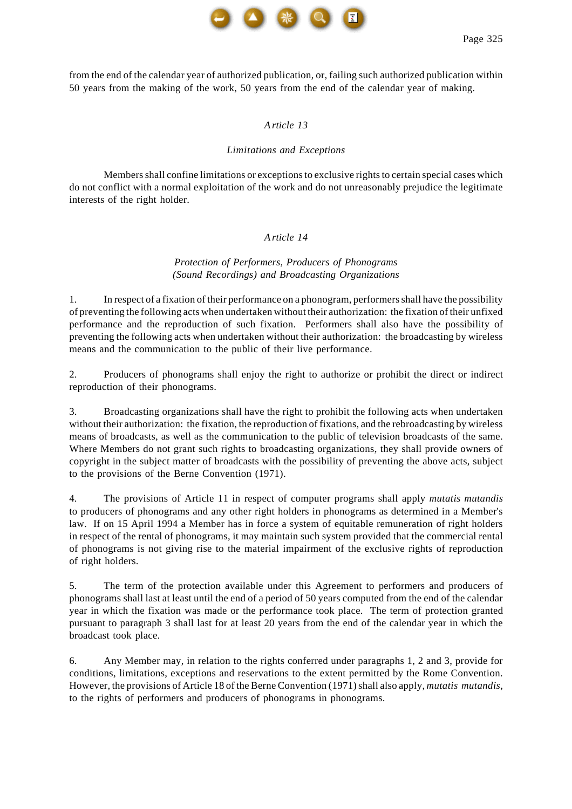

from the end of the calendar year of authorized publication, or, failing such authorized publication within 50 years from the making of the work, 50 years from the end of the calendar year of making.

# *Article 13*

# *Limitations and Exceptions*

Members shall confine limitations or exceptions to exclusive rights to certain special cases which do not conflict with a normal exploitation of the work and do not unreasonably prejudice the legitimate interests of the right holder.

# *Article 14*

# *Protection of Performers, Producers of Phonograms (Sound Recordings) and Broadcasting Organizations*

1. In respect of a fixation of their performance on a phonogram, performers shall have the possibility of preventing the following acts when undertaken without their authorization: the fixation of their unfixed performance and the reproduction of such fixation. Performers shall also have the possibility of preventing the following acts when undertaken without their authorization: the broadcasting by wireless means and the communication to the public of their live performance.

2. Producers of phonograms shall enjoy the right to authorize or prohibit the direct or indirect reproduction of their phonograms.

3. Broadcasting organizations shall have the right to prohibit the following acts when undertaken without their authorization: the fixation, the reproduction of fixations, and the rebroadcasting by wireless means of broadcasts, as well as the communication to the public of television broadcasts of the same. Where Members do not grant such rights to broadcasting organizations, they shall provide owners of copyright in the subject matter of broadcasts with the possibility of preventing the above acts, subject to the provisions of the Berne Convention (1971).

4. The provisions of Article 11 in respect of computer programs shall apply *mutatis mutandis* to producers of phonograms and any other right holders in phonograms as determined in a Member's law. If on 15 April 1994 a Member has in force a system of equitable remuneration of right holders in respect of the rental of phonograms, it may maintain such system provided that the commercial rental of phonograms is not giving rise to the material impairment of the exclusive rights of reproduction of right holders.

5. The term of the protection available under this Agreement to performers and producers of phonograms shall last at least until the end of a period of 50 years computed from the end of the calendar year in which the fixation was made or the performance took place. The term of protection granted pursuant to paragraph 3 shall last for at least 20 years from the end of the calendar year in which the broadcast took place.

6. Any Member may, in relation to the rights conferred under paragraphs 1, 2 and 3, provide for conditions, limitations, exceptions and reservations to the extent permitted by the Rome Convention. However, the provisions of Article 18 of the Berne Convention (1971) shall also apply, *mutatis mutandis*, to the rights of performers and producers of phonograms in phonograms.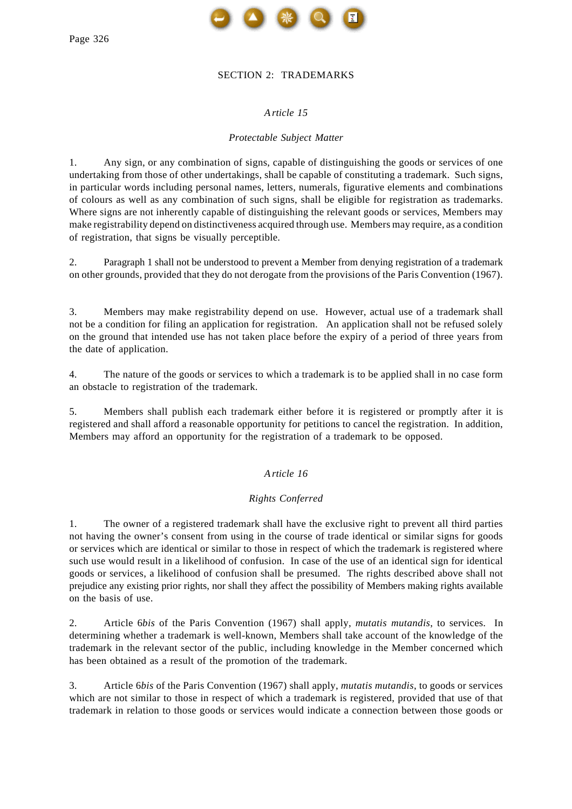

# SECTION 2: TRADEMARKS

# *Article 15*

# *Protectable Subject Matter*

1. Any sign, or any combination of signs, capable of distinguishing the goods or services of one undertaking from those of other undertakings, shall be capable of constituting a trademark. Such signs, in particular words including personal names, letters, numerals, figurative elements and combinations of colours as well as any combination of such signs, shall be eligible for registration as trademarks. Where signs are not inherently capable of distinguishing the relevant goods or services, Members may make registrability depend on distinctiveness acquired through use. Members may require, as a condition of registration, that signs be visually perceptible.

2. Paragraph 1 shall not be understood to prevent a Member from denying registration of a trademark on other grounds, provided that they do not derogate from the provisions of the Paris Convention (1967).

3. Members may make registrability depend on use. However, actual use of a trademark shall not be a condition for filing an application for registration. An application shall not be refused solely on the ground that intended use has not taken place before the expiry of a period of three years from the date of application.

4. The nature of the goods or services to which a trademark is to be applied shall in no case form an obstacle to registration of the trademark.

5. Members shall publish each trademark either before it is registered or promptly after it is registered and shall afford a reasonable opportunity for petitions to cancel the registration. In addition, Members may afford an opportunity for the registration of a trademark to be opposed.

# *Article 16*

# *Rights Conferred*

1. The owner of a registered trademark shall have the exclusive right to prevent all third parties not having the owner's consent from using in the course of trade identical or similar signs for goods or services which are identical or similar to those in respect of which the trademark is registered where such use would result in a likelihood of confusion. In case of the use of an identical sign for identical goods or services, a likelihood of confusion shall be presumed. The rights described above shall not prejudice any existing prior rights, nor shall they affect the possibility of Members making rights available on the basis of use.

2. Article 6*bis* of the Paris Convention (1967) shall apply, *mutatis mutandis*, to services. In determining whether a trademark is well-known, Members shall take account of the knowledge of the trademark in the relevant sector of the public, including knowledge in the Member concerned which has been obtained as a result of the promotion of the trademark.

3. Article 6*bis* of the Paris Convention (1967) shall apply, *mutatis mutandis*, to goods or services which are not similar to those in respect of which a trademark is registered, provided that use of that trademark in relation to those goods or services would indicate a connection between those goods or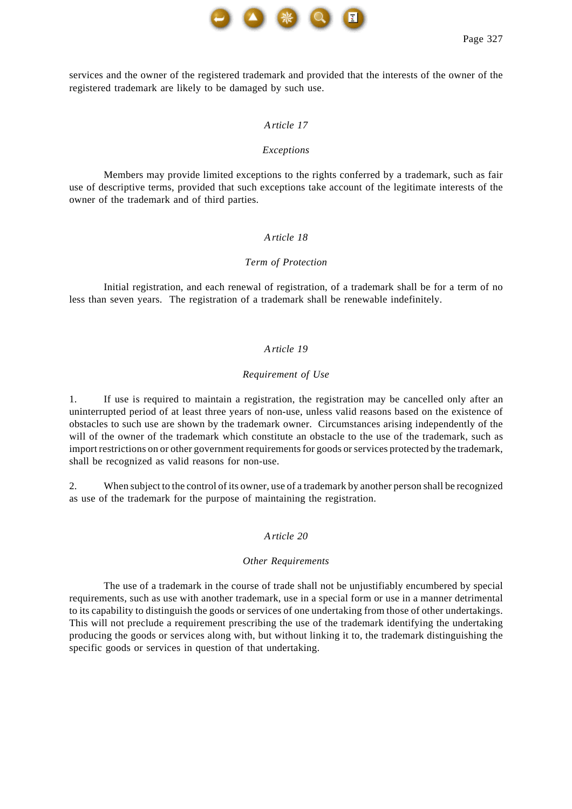

services and the owner of the registered trademark and provided that the interests of the owner of the registered trademark are likely to be damaged by such use.

### *Article 17*

#### *Exceptions*

Members may provide limited exceptions to the rights conferred by a trademark, such as fair use of descriptive terms, provided that such exceptions take account of the legitimate interests of the owner of the trademark and of third parties.

### *Article 18*

#### *Term of Protection*

Initial registration, and each renewal of registration, of a trademark shall be for a term of no less than seven years. The registration of a trademark shall be renewable indefinitely.

# *Article 19*

### *Requirement of Use*

1. If use is required to maintain a registration, the registration may be cancelled only after an uninterrupted period of at least three years of non-use, unless valid reasons based on the existence of obstacles to such use are shown by the trademark owner. Circumstances arising independently of the will of the owner of the trademark which constitute an obstacle to the use of the trademark, such as import restrictions on or other government requirements for goods or services protected by the trademark, shall be recognized as valid reasons for non-use.

2. When subject to the control of its owner, use of a trademark by another person shall be recognized as use of the trademark for the purpose of maintaining the registration.

### *Article 20*

#### *Other Requirements*

The use of a trademark in the course of trade shall not be unjustifiably encumbered by special requirements, such as use with another trademark, use in a special form or use in a manner detrimental to its capability to distinguish the goods or services of one undertaking from those of other undertakings. This will not preclude a requirement prescribing the use of the trademark identifying the undertaking producing the goods or services along with, but without linking it to, the trademark distinguishing the specific goods or services in question of that undertaking.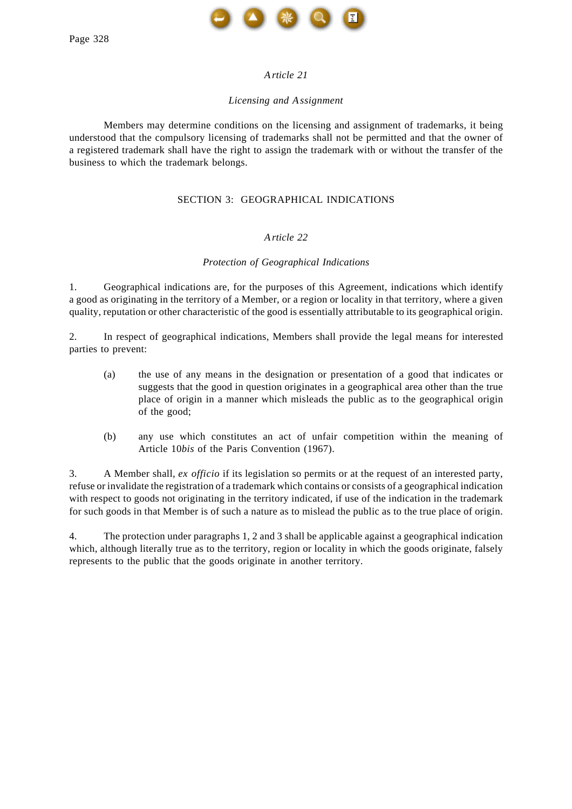

### *Licensing and Assignment*

Members may determine conditions on the licensing and assignment of trademarks, it being understood that the compulsory licensing of trademarks shall not be permitted and that the owner of a registered trademark shall have the right to assign the trademark with or without the transfer of the business to which the trademark belongs.

# SECTION 3: GEOGRAPHICAL INDICATIONS

# *Article 22*

#### *Protection of Geographical Indications*

1. Geographical indications are, for the purposes of this Agreement, indications which identify a good as originating in the territory of a Member, or a region or locality in that territory, where a given quality, reputation or other characteristic of the good is essentially attributable to its geographical origin.

2. In respect of geographical indications, Members shall provide the legal means for interested parties to prevent:

- (a) the use of any means in the designation or presentation of a good that indicates or suggests that the good in question originates in a geographical area other than the true place of origin in a manner which misleads the public as to the geographical origin of the good;
- (b) any use which constitutes an act of unfair competition within the meaning of Article 10*bis* of the Paris Convention (1967).

3. A Member shall, *ex officio* if its legislation so permits or at the request of an interested party, refuse or invalidate the registration of a trademark which contains or consists of a geographical indication with respect to goods not originating in the territory indicated, if use of the indication in the trademark for such goods in that Member is of such a nature as to mislead the public as to the true place of origin.

4. The protection under paragraphs 1, 2 and 3 shall be applicable against a geographical indication which, although literally true as to the territory, region or locality in which the goods originate, falsely represents to the public that the goods originate in another territory.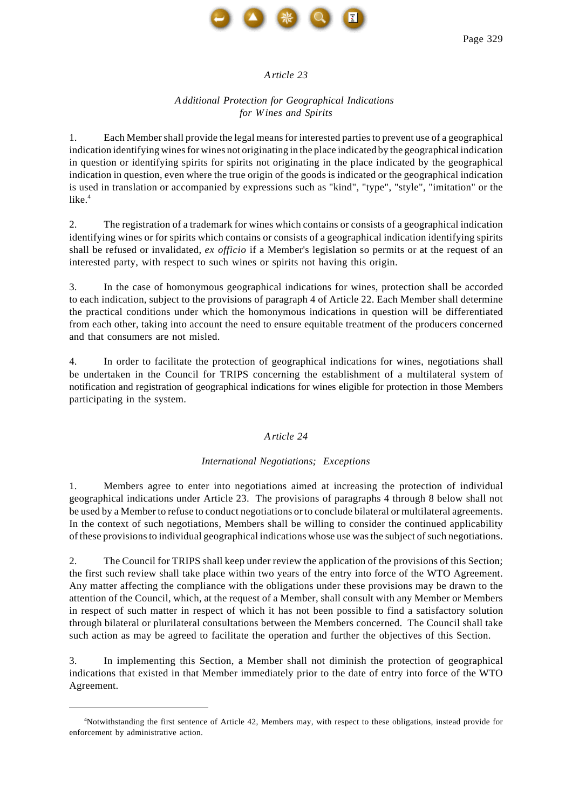

### *Additional Protection for Geographical Indications for W ines and Spirits*

1. Each Member shall provide the legal means for interested parties to prevent use of a geographical indication identifying wines for wines not originating in the place indicated by the geographical indication in question or identifying spirits for spirits not originating in the place indicated by the geographical indication in question, even where the true origin of the goods is indicated or the geographical indication is used in translation or accompanied by expressions such as "kind", "type", "style", "imitation" or the like. $4$ 

2. The registration of a trademark for wines which contains or consists of a geographical indication identifying wines or for spirits which contains or consists of a geographical indication identifying spirits shall be refused or invalidated, *ex officio* if a Member's legislation so permits or at the request of an interested party, with respect to such wines or spirits not having this origin.

3. In the case of homonymous geographical indications for wines, protection shall be accorded to each indication, subject to the provisions of paragraph 4 of Article 22. Each Member shall determine the practical conditions under which the homonymous indications in question will be differentiated from each other, taking into account the need to ensure equitable treatment of the producers concerned and that consumers are not misled.

4. In order to facilitate the protection of geographical indications for wines, negotiations shall be undertaken in the Council for TRIPS concerning the establishment of a multilateral system of notification and registration of geographical indications for wines eligible for protection in those Members participating in the system.

# *Article 24*

# *International Negotiations; Exceptions*

1. Members agree to enter into negotiations aimed at increasing the protection of individual geographical indications under Article 23. The provisions of paragraphs 4 through 8 below shall not be used by a Member to refuse to conduct negotiations or to conclude bilateral or multilateral agreements. In the context of such negotiations, Members shall be willing to consider the continued applicability of these provisions to individual geographical indications whose use was the subject of such negotiations.

2. The Council for TRIPS shall keep under review the application of the provisions of this Section; the first such review shall take place within two years of the entry into force of the WTO Agreement. Any matter affecting the compliance with the obligations under these provisions may be drawn to the attention of the Council, which, at the request of a Member, shall consult with any Member or Members in respect of such matter in respect of which it has not been possible to find a satisfactory solution through bilateral or plurilateral consultations between the Members concerned. The Council shall take such action as may be agreed to facilitate the operation and further the objectives of this Section.

3. In implementing this Section, a Member shall not diminish the protection of geographical indications that existed in that Member immediately prior to the date of entry into force of the WTO Agreement.

<sup>4</sup>Notwithstanding the first sentence of Article 42, Members may, with respect to these obligations, instead provide for enforcement by administrative action.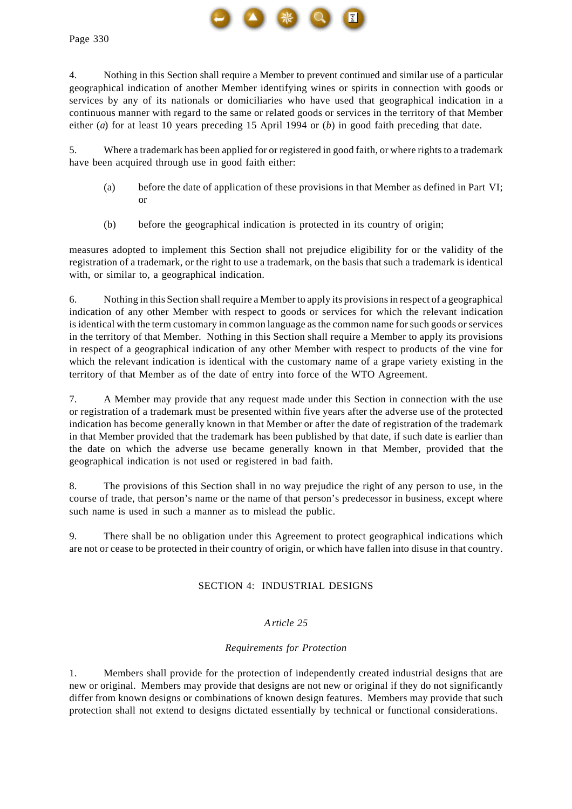

Page 330

4. Nothing in this Section shall require a Member to prevent continued and similar use of a particular geographical indication of another Member identifying wines or spirits in connection with goods or services by any of its nationals or domiciliaries who have used that geographical indication in a continuous manner with regard to the same or related goods or services in the territory of that Member either (*a*) for at least 10 years preceding 15 April 1994 or (*b*) in good faith preceding that date.

5. Where a trademark has been applied for or registered in good faith, or where rights to a trademark have been acquired through use in good faith either:

- (a) before the date of application of these provisions in that Member as defined in Part VI; or
- (b) before the geographical indication is protected in its country of origin;

measures adopted to implement this Section shall not prejudice eligibility for or the validity of the registration of a trademark, or the right to use a trademark, on the basis that such a trademark is identical with, or similar to, a geographical indication.

6. Nothing in this Section shall require a Member to apply its provisions in respect of a geographical indication of any other Member with respect to goods or services for which the relevant indication is identical with the term customary in common language as the common name for such goods or services in the territory of that Member. Nothing in this Section shall require a Member to apply its provisions in respect of a geographical indication of any other Member with respect to products of the vine for which the relevant indication is identical with the customary name of a grape variety existing in the territory of that Member as of the date of entry into force of the WTO Agreement.

7. A Member may provide that any request made under this Section in connection with the use or registration of a trademark must be presented within five years after the adverse use of the protected indication has become generally known in that Member or after the date of registration of the trademark in that Member provided that the trademark has been published by that date, if such date is earlier than the date on which the adverse use became generally known in that Member, provided that the geographical indication is not used or registered in bad faith.

8. The provisions of this Section shall in no way prejudice the right of any person to use, in the course of trade, that person's name or the name of that person's predecessor in business, except where such name is used in such a manner as to mislead the public.

9. There shall be no obligation under this Agreement to protect geographical indications which are not or cease to be protected in their country of origin, or which have fallen into disuse in that country.

# SECTION 4: INDUSTRIAL DESIGNS

# *Article 25*

# *Requirements for Protection*

1. Members shall provide for the protection of independently created industrial designs that are new or original. Members may provide that designs are not new or original if they do not significantly differ from known designs or combinations of known design features. Members may provide that such protection shall not extend to designs dictated essentially by technical or functional considerations.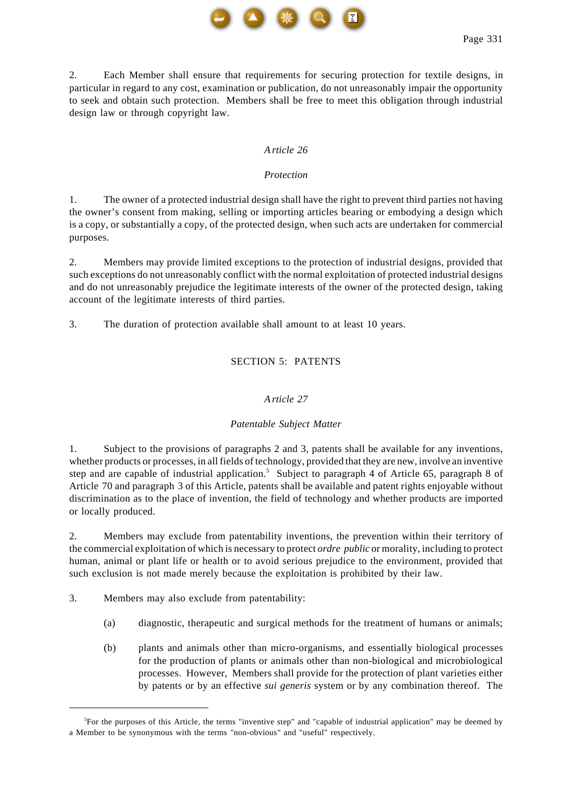

2. Each Member shall ensure that requirements for securing protection for textile designs, in particular in regard to any cost, examination or publication, do not unreasonably impair the opportunity to seek and obtain such protection. Members shall be free to meet this obligation through industrial design law or through copyright law.

## *Article 26*

## *Protection*

1. The owner of a protected industrial design shall have the right to prevent third parties not having the owner's consent from making, selling or importing articles bearing or embodying a design which is a copy, or substantially a copy, of the protected design, when such acts are undertaken for commercial purposes.

2. Members may provide limited exceptions to the protection of industrial designs, provided that such exceptions do not unreasonably conflict with the normal exploitation of protected industrial designs and do not unreasonably prejudice the legitimate interests of the owner of the protected design, taking account of the legitimate interests of third parties.

3. The duration of protection available shall amount to at least 10 years.

# SECTION 5: PATENTS

## *Article 27*

# *Patentable Subject Matter*

1. Subject to the provisions of paragraphs 2 and 3, patents shall be available for any inventions, whether products or processes, in all fields of technology, provided that they are new, involve an inventive step and are capable of industrial application.<sup>5</sup> Subject to paragraph 4 of Article 65, paragraph 8 of Article 70 and paragraph 3 of this Article, patents shall be available and patent rights enjoyable without discrimination as to the place of invention, the field of technology and whether products are imported or locally produced.

2. Members may exclude from patentability inventions, the prevention within their territory of the commercial exploitation of which is necessary to protect *ordre public* or morality, including to protect human, animal or plant life or health or to avoid serious prejudice to the environment, provided that such exclusion is not made merely because the exploitation is prohibited by their law.

3. Members may also exclude from patentability:

- (a) diagnostic, therapeutic and surgical methods for the treatment of humans or animals;
- (b) plants and animals other than micro-organisms, and essentially biological processes for the production of plants or animals other than non-biological and microbiological processes. However, Members shall provide for the protection of plant varieties either by patents or by an effective *sui generis* system or by any combination thereof. The

<sup>5</sup>For the purposes of this Article, the terms "inventive step" and "capable of industrial application" may be deemed by a Member to be synonymous with the terms "non-obvious" and "useful" respectively.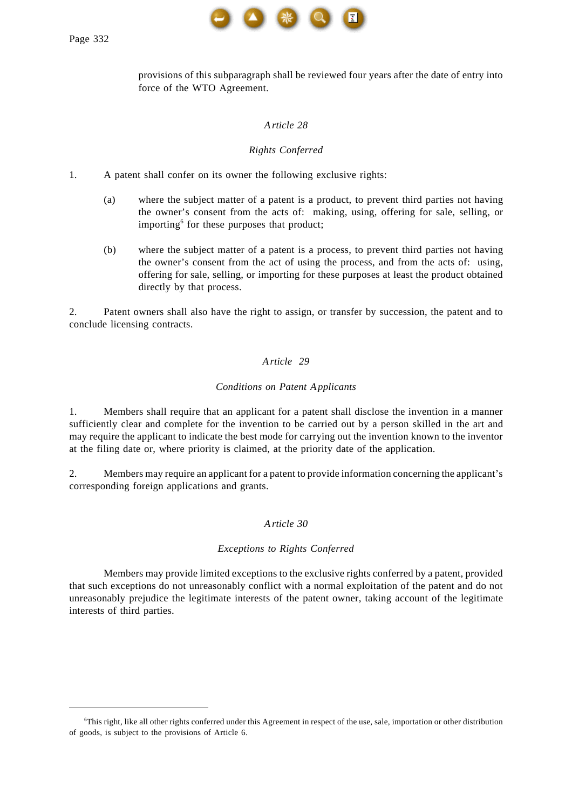

Page 332

 $\overline{a}$ 

provisions of this subparagraph shall be reviewed four years after the date of entry into force of the WTO Agreement.

# *Article 28*

### *Rights Conferred*

- 1. A patent shall confer on its owner the following exclusive rights:
	- (a) where the subject matter of a patent is a product, to prevent third parties not having the owner's consent from the acts of: making, using, offering for sale, selling, or importing<sup>6</sup> for these purposes that product;
	- (b) where the subject matter of a patent is a process, to prevent third parties not having the owner's consent from the act of using the process, and from the acts of: using, offering for sale, selling, or importing for these purposes at least the product obtained directly by that process.

2. Patent owners shall also have the right to assign, or transfer by succession, the patent and to conclude licensing contracts.

### *Article 29*

#### *Conditions on Patent Applicants*

1. Members shall require that an applicant for a patent shall disclose the invention in a manner sufficiently clear and complete for the invention to be carried out by a person skilled in the art and may require the applicant to indicate the best mode for carrying out the invention known to the inventor at the filing date or, where priority is claimed, at the priority date of the application.

2. Members may require an applicant for a patent to provide information concerning the applicant's corresponding foreign applications and grants.

# *Article 30*

# *Exceptions to Rights Conferred*

Members may provide limited exceptions to the exclusive rights conferred by a patent, provided that such exceptions do not unreasonably conflict with a normal exploitation of the patent and do not unreasonably prejudice the legitimate interests of the patent owner, taking account of the legitimate interests of third parties.

<sup>6</sup>This right, like all other rights conferred under this Agreement in respect of the use, sale, importation or other distribution of goods, is subject to the provisions of Article 6.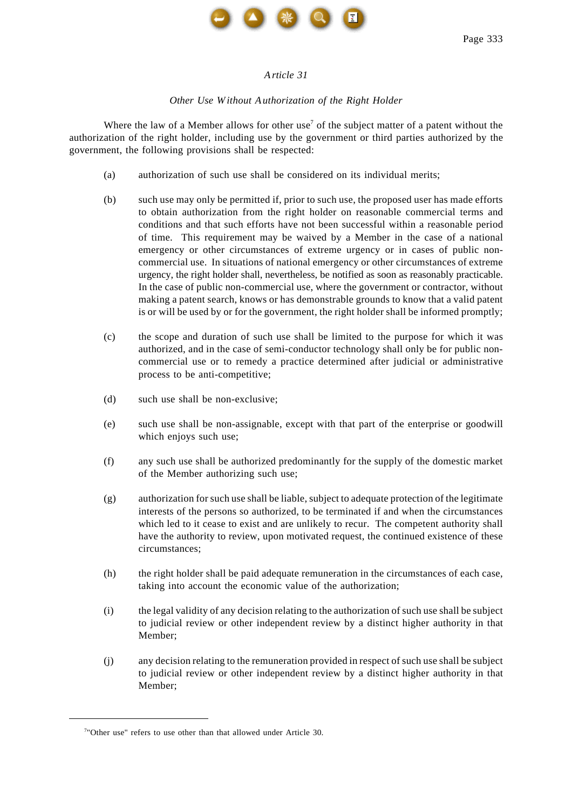

### *Other Use W ithout Authorization of the Right Holder*

Where the law of a Member allows for other use<sup>7</sup> of the subject matter of a patent without the authorization of the right holder, including use by the government or third parties authorized by the government, the following provisions shall be respected:

- (a) authorization of such use shall be considered on its individual merits;
- (b) such use may only be permitted if, prior to such use, the proposed user has made efforts to obtain authorization from the right holder on reasonable commercial terms and conditions and that such efforts have not been successful within a reasonable period of time. This requirement may be waived by a Member in the case of a national emergency or other circumstances of extreme urgency or in cases of public noncommercial use. In situations of national emergency or other circumstances of extreme urgency, the right holder shall, nevertheless, be notified as soon as reasonably practicable. In the case of public non-commercial use, where the government or contractor, without making a patent search, knows or has demonstrable grounds to know that a valid patent is or will be used by or for the government, the right holder shall be informed promptly;
- (c) the scope and duration of such use shall be limited to the purpose for which it was authorized, and in the case of semi-conductor technology shall only be for public noncommercial use or to remedy a practice determined after judicial or administrative process to be anti-competitive;
- (d) such use shall be non-exclusive;
- (e) such use shall be non-assignable, except with that part of the enterprise or goodwill which enjoys such use;
- (f) any such use shall be authorized predominantly for the supply of the domestic market of the Member authorizing such use;
- (g) authorization for such use shall be liable, subject to adequate protection of the legitimate interests of the persons so authorized, to be terminated if and when the circumstances which led to it cease to exist and are unlikely to recur. The competent authority shall have the authority to review, upon motivated request, the continued existence of these circumstances;
- (h) the right holder shall be paid adequate remuneration in the circumstances of each case, taking into account the economic value of the authorization;
- (i) the legal validity of any decision relating to the authorization of such use shall be subject to judicial review or other independent review by a distinct higher authority in that Member;
- (j) any decision relating to the remuneration provided in respect of such use shall be subject to judicial review or other independent review by a distinct higher authority in that Member;

 $7"$ Other use" refers to use other than that allowed under Article 30.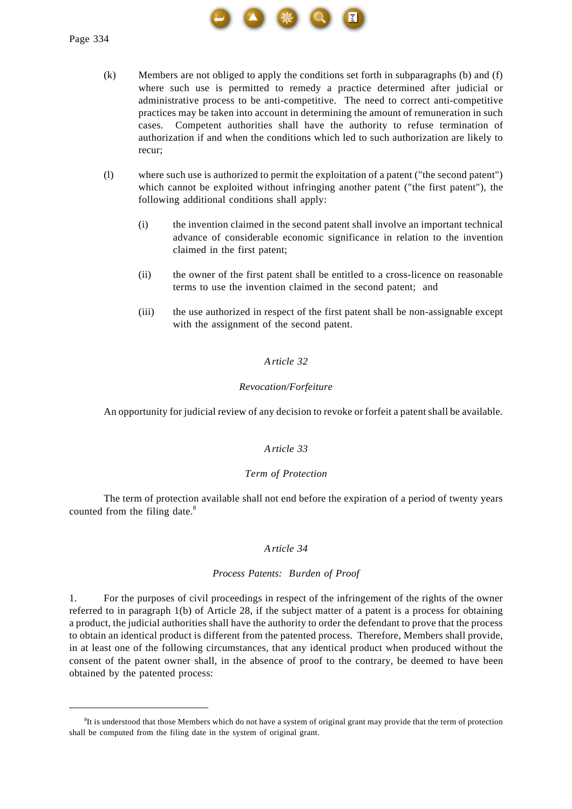

 $\overline{a}$ 

- (k) Members are not obliged to apply the conditions set forth in subparagraphs (b) and (f) where such use is permitted to remedy a practice determined after judicial or administrative process to be anti-competitive. The need to correct anti-competitive practices may be taken into account in determining the amount of remuneration in such cases. Competent authorities shall have the authority to refuse termination of authorization if and when the conditions which led to such authorization are likely to recur;
- (l) where such use is authorized to permit the exploitation of a patent ("the second patent") which cannot be exploited without infringing another patent ("the first patent"), the following additional conditions shall apply:
	- (i) the invention claimed in the second patent shall involve an important technical advance of considerable economic significance in relation to the invention claimed in the first patent;
	- (ii) the owner of the first patent shall be entitled to a cross-licence on reasonable terms to use the invention claimed in the second patent; and
	- (iii) the use authorized in respect of the first patent shall be non-assignable except with the assignment of the second patent.

## *Article 32*

### *Revocation/Forfeiture*

An opportunity for judicial review of any decision to revoke or forfeit a patent shall be available.

# *Article 33*

### *Term of Protection*

The term of protection available shall not end before the expiration of a period of twenty years counted from the filing date.<sup>8</sup>

### *Article 34*

#### *Process Patents: Burden of Proof*

1. For the purposes of civil proceedings in respect of the infringement of the rights of the owner referred to in paragraph 1(b) of Article 28, if the subject matter of a patent is a process for obtaining a product, the judicial authorities shall have the authority to order the defendant to prove that the process to obtain an identical product is different from the patented process. Therefore, Members shall provide, in at least one of the following circumstances, that any identical product when produced without the consent of the patent owner shall, in the absence of proof to the contrary, be deemed to have been obtained by the patented process:

<sup>&</sup>lt;sup>8</sup>It is understood that those Members which do not have a system of original grant may provide that the term of protection shall be computed from the filing date in the system of original grant.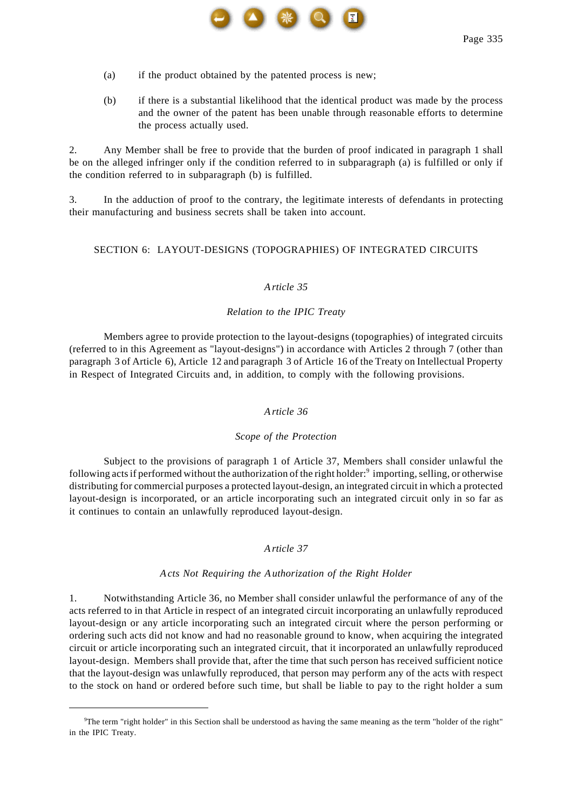

- (a) if the product obtained by the patented process is new;
- (b) if there is a substantial likelihood that the identical product was made by the process and the owner of the patent has been unable through reasonable efforts to determine the process actually used.

2. Any Member shall be free to provide that the burden of proof indicated in paragraph 1 shall be on the alleged infringer only if the condition referred to in subparagraph (a) is fulfilled or only if the condition referred to in subparagraph (b) is fulfilled.

3. In the adduction of proof to the contrary, the legitimate interests of defendants in protecting their manufacturing and business secrets shall be taken into account.

### SECTION 6: LAYOUT-DESIGNS (TOPOGRAPHIES) OF INTEGRATED CIRCUITS

### *Article 35*

#### *Relation to the IPIC Treaty*

Members agree to provide protection to the layout-designs (topographies) of integrated circuits (referred to in this Agreement as "layout-designs") in accordance with Articles 2 through 7 (other than paragraph 3 of Article 6), Article 12 and paragraph 3 of Article 16 of the Treaty on Intellectual Property in Respect of Integrated Circuits and, in addition, to comply with the following provisions.

### *Article 36*

#### *Scope of the Protection*

Subject to the provisions of paragraph 1 of Article 37, Members shall consider unlawful the following acts if performed without the authorization of the right holder:<sup>9</sup> importing, selling, or otherwise distributing for commercial purposes a protected layout-design, an integrated circuit in which a protected layout-design is incorporated, or an article incorporating such an integrated circuit only in so far as it continues to contain an unlawfully reproduced layout-design.

# *Article 37*

#### *Acts Not Requiring the Authorization of the Right Holder*

1. Notwithstanding Article 36, no Member shall consider unlawful the performance of any of the acts referred to in that Article in respect of an integrated circuit incorporating an unlawfully reproduced layout-design or any article incorporating such an integrated circuit where the person performing or ordering such acts did not know and had no reasonable ground to know, when acquiring the integrated circuit or article incorporating such an integrated circuit, that it incorporated an unlawfully reproduced layout-design. Members shall provide that, after the time that such person has received sufficient notice that the layout-design was unlawfully reproduced, that person may perform any of the acts with respect to the stock on hand or ordered before such time, but shall be liable to pay to the right holder a sum

<sup>9</sup>The term "right holder" in this Section shall be understood as having the same meaning as the term "holder of the right" in the IPIC Treaty.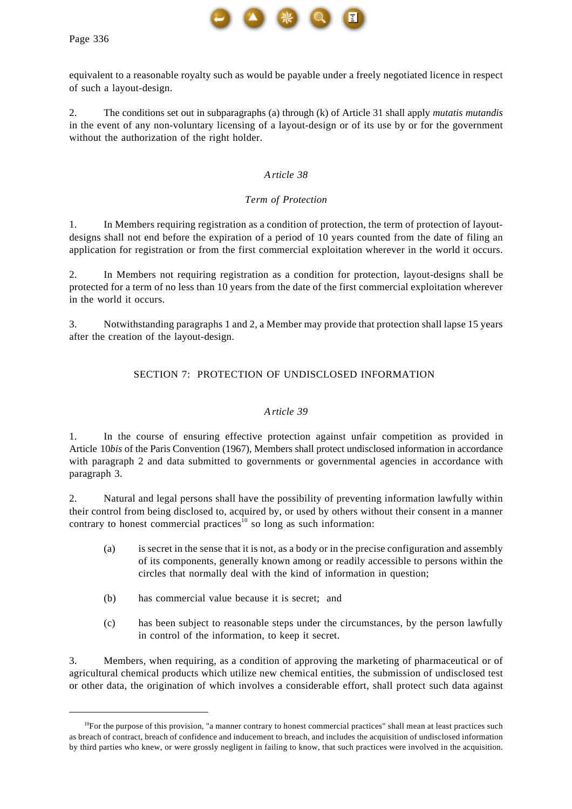

 $\overline{a}$ 

equivalent to a reasonable royalty such as would be payable under a freely negotiated licence in respect of such a layout-design.

2. The conditions set out in subparagraphs (a) through (k) of Article 31 shall apply *mutatis mutandis* in the event of any non-voluntary licensing of a layout-design or of its use by or for the government without the authorization of the right holder.

# *Article 38*

# *Term of Protection*

1. In Members requiring registration as a condition of protection, the term of protection of layoutdesigns shall not end before the expiration of a period of 10 years counted from the date of filing an application for registration or from the first commercial exploitation wherever in the world it occurs.

2. In Members not requiring registration as a condition for protection, layout-designs shall be protected for a term of no less than 10 years from the date of the first commercial exploitation wherever in the world it occurs.

3. Notwithstanding paragraphs 1 and 2, a Member may provide that protection shall lapse 15 years after the creation of the layout-design.

# SECTION 7: PROTECTION OF UNDISCLOSED INFORMATION

# *Article 39*

1. In the course of ensuring effective protection against unfair competition as provided in Article 10*bis* of the Paris Convention (1967), Members shall protect undisclosed information in accordance with paragraph 2 and data submitted to governments or governmental agencies in accordance with paragraph 3.

2. Natural and legal persons shall have the possibility of preventing information lawfully within their control from being disclosed to, acquired by, or used by others without their consent in a manner contrary to honest commercial practices<sup>10</sup> so long as such information:

- (a) is secret in the sense that it is not, as a body or in the precise configuration and assembly of its components, generally known among or readily accessible to persons within the circles that normally deal with the kind of information in question;
- (b) has commercial value because it is secret; and
- (c) has been subject to reasonable steps under the circumstances, by the person lawfully in control of the information, to keep it secret.

3. Members, when requiring, as a condition of approving the marketing of pharmaceutical or of agricultural chemical products which utilize new chemical entities, the submission of undisclosed test or other data, the origination of which involves a considerable effort, shall protect such data against

 $10$ For the purpose of this provision, "a manner contrary to honest commercial practices" shall mean at least practices such as breach of contract, breach of confidence and inducement to breach, and includes the acquisition of undisclosed information by third parties who knew, or were grossly negligent in failing to know, that such practices were involved in the acquisition.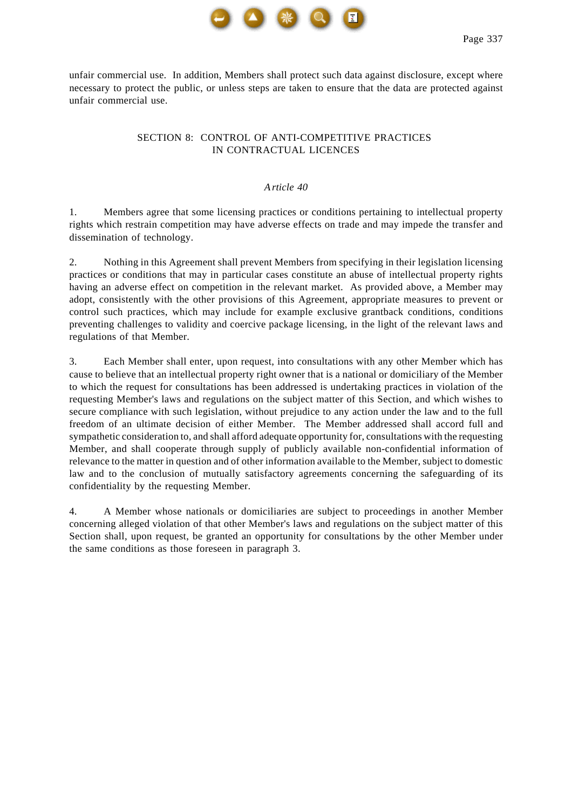

unfair commercial use. In addition, Members shall protect such data against disclosure, except where necessary to protect the public, or unless steps are taken to ensure that the data are protected against unfair commercial use.

# SECTION 8: CONTROL OF ANTI-COMPETITIVE PRACTICES IN CONTRACTUAL LICENCES

### *Article 40*

1. Members agree that some licensing practices or conditions pertaining to intellectual property rights which restrain competition may have adverse effects on trade and may impede the transfer and dissemination of technology.

2. Nothing in this Agreement shall prevent Members from specifying in their legislation licensing practices or conditions that may in particular cases constitute an abuse of intellectual property rights having an adverse effect on competition in the relevant market. As provided above, a Member may adopt, consistently with the other provisions of this Agreement, appropriate measures to prevent or control such practices, which may include for example exclusive grantback conditions, conditions preventing challenges to validity and coercive package licensing, in the light of the relevant laws and regulations of that Member.

3. Each Member shall enter, upon request, into consultations with any other Member which has cause to believe that an intellectual property right owner that is a national or domiciliary of the Member to which the request for consultations has been addressed is undertaking practices in violation of the requesting Member's laws and regulations on the subject matter of this Section, and which wishes to secure compliance with such legislation, without prejudice to any action under the law and to the full freedom of an ultimate decision of either Member. The Member addressed shall accord full and sympathetic consideration to, and shall afford adequate opportunity for, consultations with the requesting Member, and shall cooperate through supply of publicly available non-confidential information of relevance to the matter in question and of other information available to the Member, subject to domestic law and to the conclusion of mutually satisfactory agreements concerning the safeguarding of its confidentiality by the requesting Member.

4. A Member whose nationals or domiciliaries are subject to proceedings in another Member concerning alleged violation of that other Member's laws and regulations on the subject matter of this Section shall, upon request, be granted an opportunity for consultations by the other Member under the same conditions as those foreseen in paragraph 3.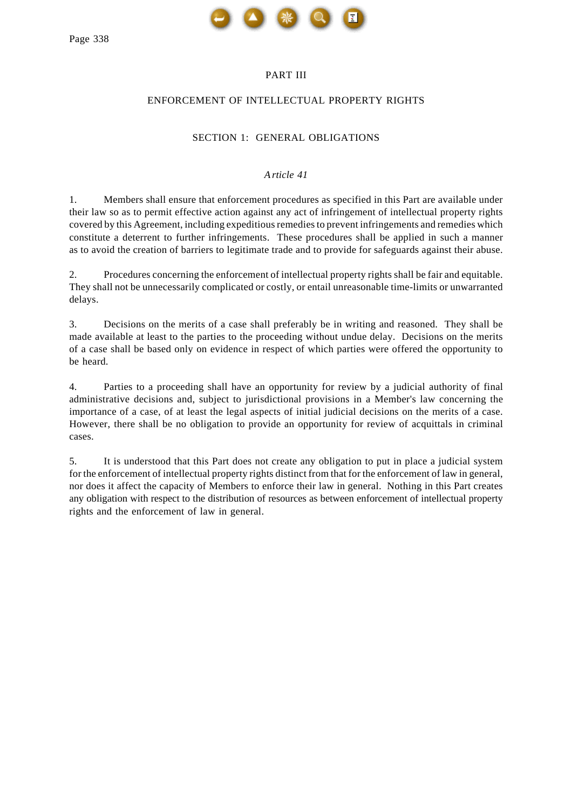

### PART III

# ENFORCEMENT OF INTELLECTUAL PROPERTY RIGHTS

## SECTION 1: GENERAL OBLIGATIONS

# *Article 41*

1. Members shall ensure that enforcement procedures as specified in this Part are available under their law so as to permit effective action against any act of infringement of intellectual property rights covered by this Agreement, including expeditious remedies to prevent infringements and remedies which constitute a deterrent to further infringements. These procedures shall be applied in such a manner as to avoid the creation of barriers to legitimate trade and to provide for safeguards against their abuse.

2. Procedures concerning the enforcement of intellectual property rights shall be fair and equitable. They shall not be unnecessarily complicated or costly, or entail unreasonable time-limits or unwarranted delays.

3. Decisions on the merits of a case shall preferably be in writing and reasoned. They shall be made available at least to the parties to the proceeding without undue delay. Decisions on the merits of a case shall be based only on evidence in respect of which parties were offered the opportunity to be heard.

4. Parties to a proceeding shall have an opportunity for review by a judicial authority of final administrative decisions and, subject to jurisdictional provisions in a Member's law concerning the importance of a case, of at least the legal aspects of initial judicial decisions on the merits of a case. However, there shall be no obligation to provide an opportunity for review of acquittals in criminal cases.

5. It is understood that this Part does not create any obligation to put in place a judicial system for the enforcement of intellectual property rights distinct from that for the enforcement of law in general, nor does it affect the capacity of Members to enforce their law in general. Nothing in this Part creates any obligation with respect to the distribution of resources as between enforcement of intellectual property rights and the enforcement of law in general.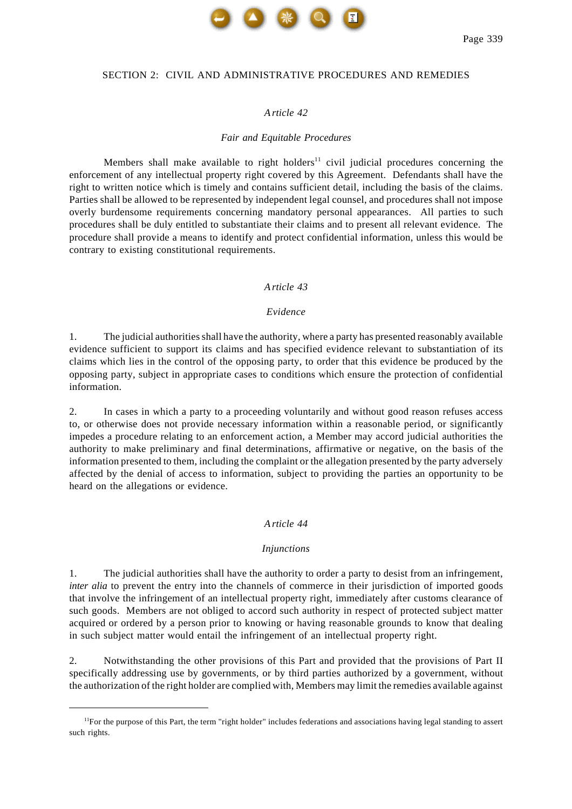

## SECTION 2: CIVIL AND ADMINISTRATIVE PROCEDURES AND REMEDIES

# *Article 42*

#### *Fair and Equitable Procedures*

Members shall make available to right holders<sup>11</sup> civil judicial procedures concerning the enforcement of any intellectual property right covered by this Agreement. Defendants shall have the right to written notice which is timely and contains sufficient detail, including the basis of the claims. Parties shall be allowed to be represented by independent legal counsel, and procedures shall not impose overly burdensome requirements concerning mandatory personal appearances. All parties to such procedures shall be duly entitled to substantiate their claims and to present all relevant evidence. The procedure shall provide a means to identify and protect confidential information, unless this would be contrary to existing constitutional requirements.

#### *Article 43*

#### *Evidence*

1. The judicial authorities shall have the authority, where a party has presented reasonably available evidence sufficient to support its claims and has specified evidence relevant to substantiation of its claims which lies in the control of the opposing party, to order that this evidence be produced by the opposing party, subject in appropriate cases to conditions which ensure the protection of confidential information.

2. In cases in which a party to a proceeding voluntarily and without good reason refuses access to, or otherwise does not provide necessary information within a reasonable period, or significantly impedes a procedure relating to an enforcement action, a Member may accord judicial authorities the authority to make preliminary and final determinations, affirmative or negative, on the basis of the information presented to them, including the complaint or the allegation presented by the party adversely affected by the denial of access to information, subject to providing the parties an opportunity to be heard on the allegations or evidence.

# *Article 44*

#### *Injunctions*

1. The judicial authorities shall have the authority to order a party to desist from an infringement, *inter alia* to prevent the entry into the channels of commerce in their jurisdiction of imported goods that involve the infringement of an intellectual property right, immediately after customs clearance of such goods. Members are not obliged to accord such authority in respect of protected subject matter acquired or ordered by a person prior to knowing or having reasonable grounds to know that dealing in such subject matter would entail the infringement of an intellectual property right.

2. Notwithstanding the other provisions of this Part and provided that the provisions of Part II specifically addressing use by governments, or by third parties authorized by a government, without the authorization of the right holder are complied with, Members may limit the remedies available against

<sup>&</sup>lt;sup>11</sup>For the purpose of this Part, the term "right holder" includes federations and associations having legal standing to assert such rights.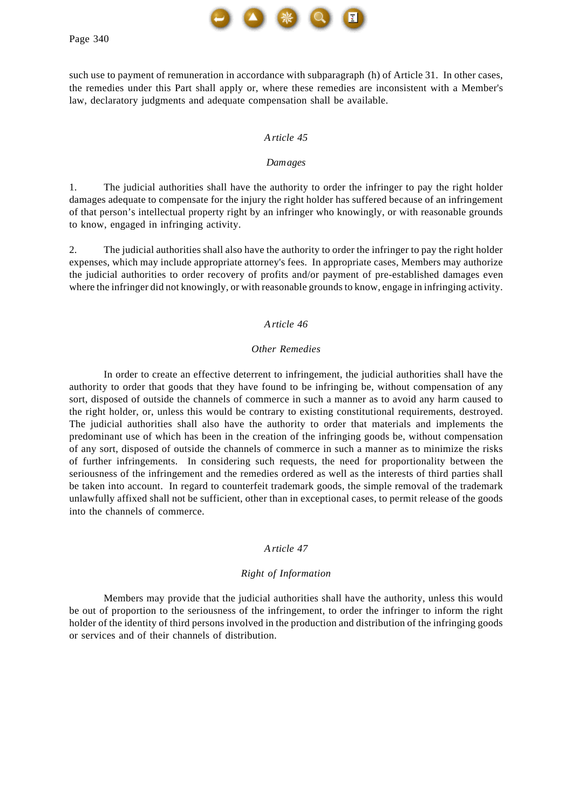

Page 340

such use to payment of remuneration in accordance with subparagraph (h) of Article 31. In other cases, the remedies under this Part shall apply or, where these remedies are inconsistent with a Member's law, declaratory judgments and adequate compensation shall be available.

#### *Article 45*

### *Damages*

1. The judicial authorities shall have the authority to order the infringer to pay the right holder damages adequate to compensate for the injury the right holder has suffered because of an infringement of that person's intellectual property right by an infringer who knowingly, or with reasonable grounds to know, engaged in infringing activity.

2. The judicial authorities shall also have the authority to order the infringer to pay the right holder expenses, which may include appropriate attorney's fees. In appropriate cases, Members may authorize the judicial authorities to order recovery of profits and/or payment of pre-established damages even where the infringer did not knowingly, or with reasonable grounds to know, engage in infringing activity.

### *Article 46*

#### *Other Remedies*

In order to create an effective deterrent to infringement, the judicial authorities shall have the authority to order that goods that they have found to be infringing be, without compensation of any sort, disposed of outside the channels of commerce in such a manner as to avoid any harm caused to the right holder, or, unless this would be contrary to existing constitutional requirements, destroyed. The judicial authorities shall also have the authority to order that materials and implements the predominant use of which has been in the creation of the infringing goods be, without compensation of any sort, disposed of outside the channels of commerce in such a manner as to minimize the risks of further infringements. In considering such requests, the need for proportionality between the seriousness of the infringement and the remedies ordered as well as the interests of third parties shall be taken into account. In regard to counterfeit trademark goods, the simple removal of the trademark unlawfully affixed shall not be sufficient, other than in exceptional cases, to permit release of the goods into the channels of commerce.

# *Article 47*

### *Right of Information*

Members may provide that the judicial authorities shall have the authority, unless this would be out of proportion to the seriousness of the infringement, to order the infringer to inform the right holder of the identity of third persons involved in the production and distribution of the infringing goods or services and of their channels of distribution.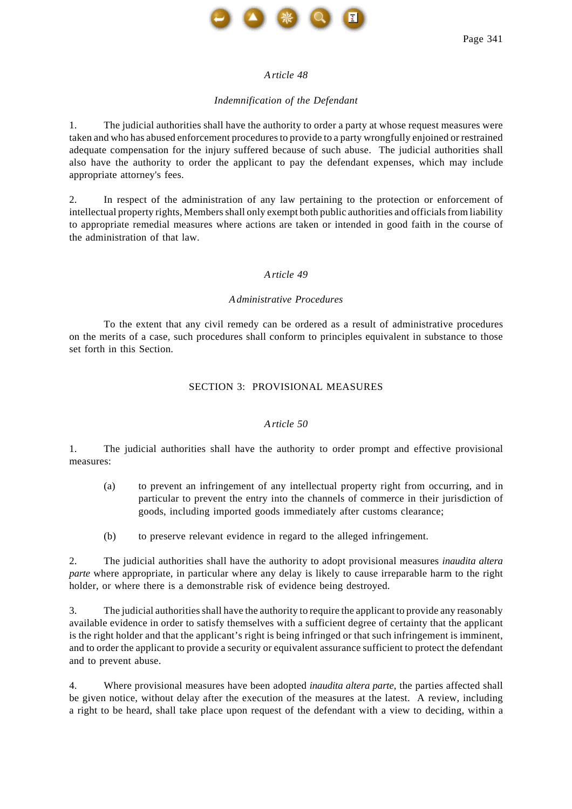

## *Indemnification of the Defendant*

1. The judicial authorities shall have the authority to order a party at whose request measures were taken and who has abused enforcement procedures to provide to a party wrongfully enjoined or restrained adequate compensation for the injury suffered because of such abuse. The judicial authorities shall also have the authority to order the applicant to pay the defendant expenses, which may include appropriate attorney's fees.

2. In respect of the administration of any law pertaining to the protection or enforcement of intellectual property rights, Members shall only exempt both public authorities and officials from liability to appropriate remedial measures where actions are taken or intended in good faith in the course of the administration of that law.

#### *Article 49*

#### *Administrative Procedures*

To the extent that any civil remedy can be ordered as a result of administrative procedures on the merits of a case, such procedures shall conform to principles equivalent in substance to those set forth in this Section.

### SECTION 3: PROVISIONAL MEASURES

#### *Article 50*

1. The judicial authorities shall have the authority to order prompt and effective provisional measures:

- (a) to prevent an infringement of any intellectual property right from occurring, and in particular to prevent the entry into the channels of commerce in their jurisdiction of goods, including imported goods immediately after customs clearance;
- (b) to preserve relevant evidence in regard to the alleged infringement.

2. The judicial authorities shall have the authority to adopt provisional measures *inaudita altera parte* where appropriate, in particular where any delay is likely to cause irreparable harm to the right holder, or where there is a demonstrable risk of evidence being destroyed.

3. The judicial authorities shall have the authority to require the applicant to provide any reasonably available evidence in order to satisfy themselves with a sufficient degree of certainty that the applicant is the right holder and that the applicant's right is being infringed or that such infringement is imminent, and to order the applicant to provide a security or equivalent assurance sufficient to protect the defendant and to prevent abuse.

4. Where provisional measures have been adopted *inaudita altera parte*, the parties affected shall be given notice, without delay after the execution of the measures at the latest. A review, including a right to be heard, shall take place upon request of the defendant with a view to deciding, within a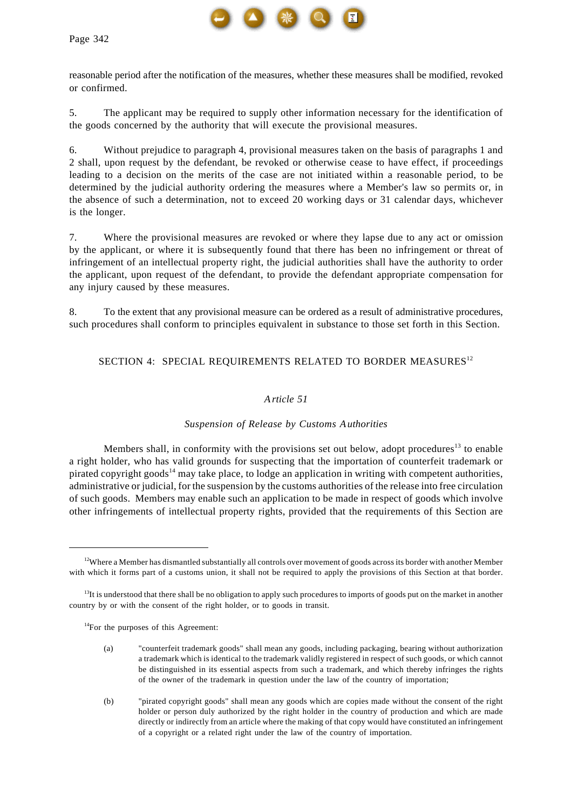

Page 342

reasonable period after the notification of the measures, whether these measures shall be modified, revoked or confirmed.

5. The applicant may be required to supply other information necessary for the identification of the goods concerned by the authority that will execute the provisional measures.

6. Without prejudice to paragraph 4, provisional measures taken on the basis of paragraphs 1 and 2 shall, upon request by the defendant, be revoked or otherwise cease to have effect, if proceedings leading to a decision on the merits of the case are not initiated within a reasonable period, to be determined by the judicial authority ordering the measures where a Member's law so permits or, in the absence of such a determination, not to exceed 20 working days or 31 calendar days, whichever is the longer.

7. Where the provisional measures are revoked or where they lapse due to any act or omission by the applicant, or where it is subsequently found that there has been no infringement or threat of infringement of an intellectual property right, the judicial authorities shall have the authority to order the applicant, upon request of the defendant, to provide the defendant appropriate compensation for any injury caused by these measures.

8. To the extent that any provisional measure can be ordered as a result of administrative procedures, such procedures shall conform to principles equivalent in substance to those set forth in this Section.

# SECTION 4: SPECIAL REQUIREMENTS RELATED TO BORDER MEASURES<sup>12</sup>

#### *Article 51*

# *Suspension of Release by Customs Authorities*

Members shall, in conformity with the provisions set out below, adopt procedures<sup>13</sup> to enable a right holder, who has valid grounds for suspecting that the importation of counterfeit trademark or pirated copyright goods<sup>14</sup> may take place, to lodge an application in writing with competent authorities, administrative or judicial, for the suspension by the customs authorities of the release into free circulation of such goods. Members may enable such an application to be made in respect of goods which involve other infringements of intellectual property rights, provided that the requirements of this Section are

<sup>14</sup>For the purposes of this Agreement:

- (a) "counterfeit trademark goods" shall mean any goods, including packaging, bearing without authorization a trademark which is identical to the trademark validly registered in respect of such goods, or which cannot be distinguished in its essential aspects from such a trademark, and which thereby infringes the rights of the owner of the trademark in question under the law of the country of importation;
- (b) "pirated copyright goods" shall mean any goods which are copies made without the consent of the right holder or person duly authorized by the right holder in the country of production and which are made directly or indirectly from an article where the making of that copy would have constituted an infringement of a copyright or a related right under the law of the country of importation.

 $12$ Where a Member has dismantled substantially all controls over movement of goods across its border with another Member with which it forms part of a customs union, it shall not be required to apply the provisions of this Section at that border.

<sup>&</sup>lt;sup>13</sup>It is understood that there shall be no obligation to apply such procedures to imports of goods put on the market in another country by or with the consent of the right holder, or to goods in transit.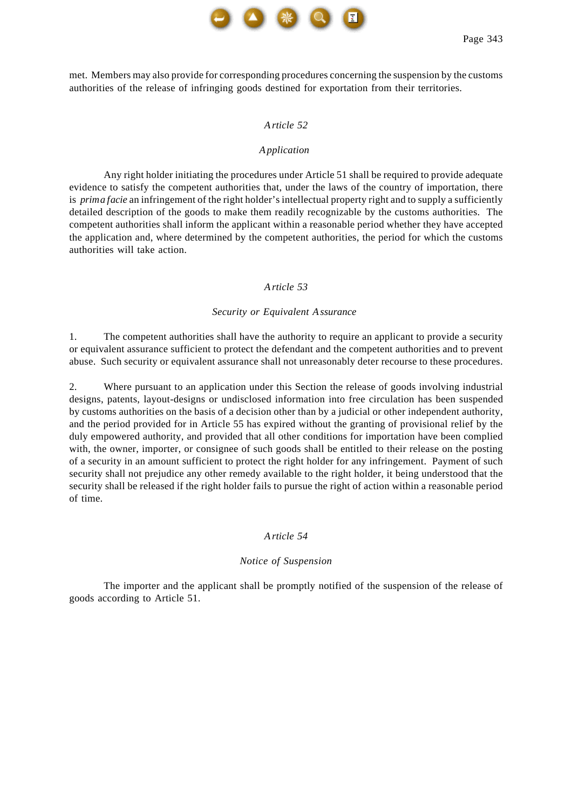

met. Members may also provide for corresponding procedures concerning the suspension by the customs authorities of the release of infringing goods destined for exportation from their territories.

## *Article 52*

#### *Application*

Any right holder initiating the procedures under Article 51 shall be required to provide adequate evidence to satisfy the competent authorities that, under the laws of the country of importation, there is *prima facie* an infringement of the right holder's intellectual property right and to supply a sufficiently detailed description of the goods to make them readily recognizable by the customs authorities. The competent authorities shall inform the applicant within a reasonable period whether they have accepted the application and, where determined by the competent authorities, the period for which the customs authorities will take action.

#### *Article 53*

#### *Security or Equivalent Assurance*

1. The competent authorities shall have the authority to require an applicant to provide a security or equivalent assurance sufficient to protect the defendant and the competent authorities and to prevent abuse. Such security or equivalent assurance shall not unreasonably deter recourse to these procedures.

2. Where pursuant to an application under this Section the release of goods involving industrial designs, patents, layout-designs or undisclosed information into free circulation has been suspended by customs authorities on the basis of a decision other than by a judicial or other independent authority, and the period provided for in Article 55 has expired without the granting of provisional relief by the duly empowered authority, and provided that all other conditions for importation have been complied with, the owner, importer, or consignee of such goods shall be entitled to their release on the posting of a security in an amount sufficient to protect the right holder for any infringement. Payment of such security shall not prejudice any other remedy available to the right holder, it being understood that the security shall be released if the right holder fails to pursue the right of action within a reasonable period of time.

# *Article 54*

#### *Notice of Suspension*

The importer and the applicant shall be promptly notified of the suspension of the release of goods according to Article 51.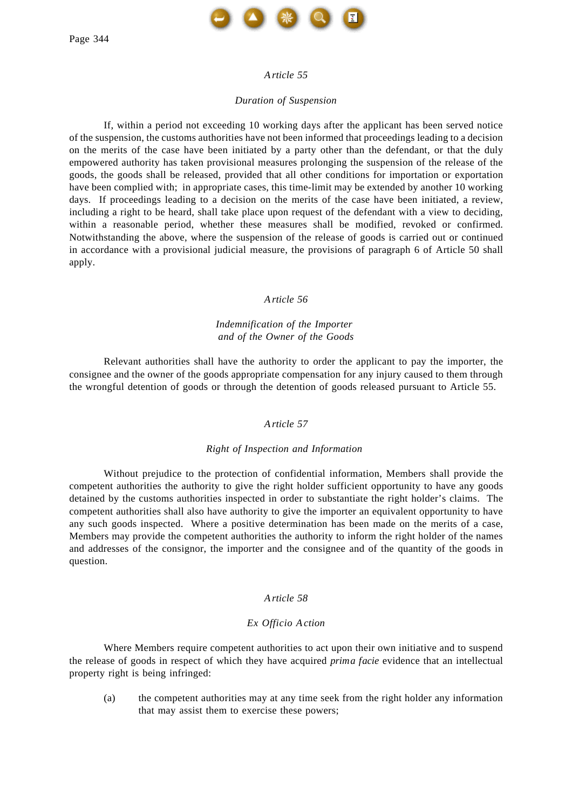

#### *Duration of Suspension*

If, within a period not exceeding 10 working days after the applicant has been served notice of the suspension, the customs authorities have not been informed that proceedings leading to a decision on the merits of the case have been initiated by a party other than the defendant, or that the duly empowered authority has taken provisional measures prolonging the suspension of the release of the goods, the goods shall be released, provided that all other conditions for importation or exportation have been complied with; in appropriate cases, this time-limit may be extended by another 10 working days. If proceedings leading to a decision on the merits of the case have been initiated, a review, including a right to be heard, shall take place upon request of the defendant with a view to deciding, within a reasonable period, whether these measures shall be modified, revoked or confirmed. Notwithstanding the above, where the suspension of the release of goods is carried out or continued in accordance with a provisional judicial measure, the provisions of paragraph 6 of Article 50 shall apply.

### *Article 56*

### *Indemnification of the Importer and of the Owner of the Goods*

Relevant authorities shall have the authority to order the applicant to pay the importer, the consignee and the owner of the goods appropriate compensation for any injury caused to them through the wrongful detention of goods or through the detention of goods released pursuant to Article 55.

### *Article 57*

#### *Right of Inspection and Information*

Without prejudice to the protection of confidential information, Members shall provide the competent authorities the authority to give the right holder sufficient opportunity to have any goods detained by the customs authorities inspected in order to substantiate the right holder's claims. The competent authorities shall also have authority to give the importer an equivalent opportunity to have any such goods inspected. Where a positive determination has been made on the merits of a case, Members may provide the competent authorities the authority to inform the right holder of the names and addresses of the consignor, the importer and the consignee and of the quantity of the goods in question.

#### *Article 58*

#### *Ex Officio Action*

Where Members require competent authorities to act upon their own initiative and to suspend the release of goods in respect of which they have acquired *prima facie* evidence that an intellectual property right is being infringed:

(a) the competent authorities may at any time seek from the right holder any information that may assist them to exercise these powers;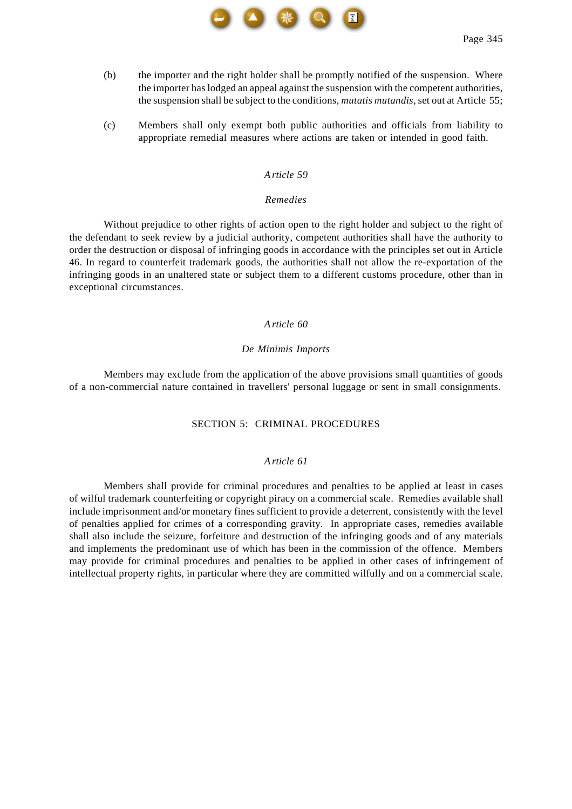

- (b) the importer and the right holder shall be promptly notified of the suspension. Where the importer has lodged an appeal against the suspension with the competent authorities, the suspension shall be subject to the conditions, *mutatis mutandis*, set out at Article 55;
- (c) Members shall only exempt both public authorities and officials from liability to appropriate remedial measures where actions are taken or intended in good faith.

#### *Remedies*

Without prejudice to other rights of action open to the right holder and subject to the right of the defendant to seek review by a judicial authority, competent authorities shall have the authority to order the destruction or disposal of infringing goods in accordance with the principles set out in Article 46. In regard to counterfeit trademark goods, the authorities shall not allow the re-exportation of the infringing goods in an unaltered state or subject them to a different customs procedure, other than in exceptional circumstances.

### *Article 60*

#### *De Minimis Imports*

Members may exclude from the application of the above provisions small quantities of goods of a non-commercial nature contained in travellers' personal luggage or sent in small consignments.

#### SECTION 5: CRIMINAL PROCEDURES

### *Article 61*

Members shall provide for criminal procedures and penalties to be applied at least in cases of wilful trademark counterfeiting or copyright piracy on a commercial scale. Remedies available shall include imprisonment and/or monetary fines sufficient to provide a deterrent, consistently with the level of penalties applied for crimes of a corresponding gravity. In appropriate cases, remedies available shall also include the seizure, forfeiture and destruction of the infringing goods and of any materials and implements the predominant use of which has been in the commission of the offence. Members may provide for criminal procedures and penalties to be applied in other cases of infringement of intellectual property rights, in particular where they are committed wilfully and on a commercial scale.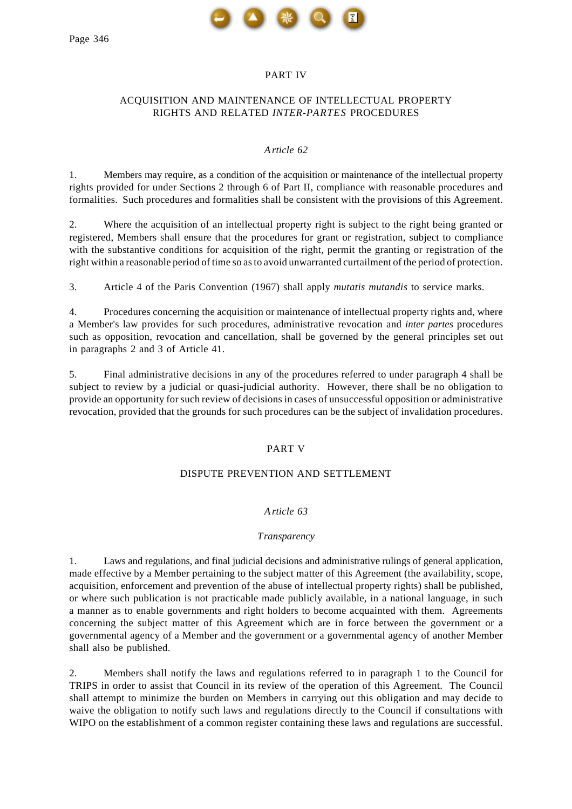

# PART IV

# ACQUISITION AND MAINTENANCE OF INTELLECTUAL PROPERTY RIGHTS AND RELATED *INTER-PARTES* PROCEDURES

### *Article 62*

1. Members may require, as a condition of the acquisition or maintenance of the intellectual property rights provided for under Sections 2 through 6 of Part II, compliance with reasonable procedures and formalities. Such procedures and formalities shall be consistent with the provisions of this Agreement.

2. Where the acquisition of an intellectual property right is subject to the right being granted or registered, Members shall ensure that the procedures for grant or registration, subject to compliance with the substantive conditions for acquisition of the right, permit the granting or registration of the right within a reasonable period of time so as to avoid unwarranted curtailment of the period of protection.

3. Article 4 of the Paris Convention (1967) shall apply *mutatis mutandis* to service marks.

4. Procedures concerning the acquisition or maintenance of intellectual property rights and, where a Member's law provides for such procedures, administrative revocation and *inter partes* procedures such as opposition, revocation and cancellation, shall be governed by the general principles set out in paragraphs 2 and 3 of Article 41.

5. Final administrative decisions in any of the procedures referred to under paragraph 4 shall be subject to review by a judicial or quasi-judicial authority. However, there shall be no obligation to provide an opportunity for such review of decisions in cases of unsuccessful opposition or administrative revocation, provided that the grounds for such procedures can be the subject of invalidation procedures.

### PART V

# DISPUTE PREVENTION AND SETTLEMENT

## *Article 63*

#### *Transparency*

1. Laws and regulations, and final judicial decisions and administrative rulings of general application, made effective by a Member pertaining to the subject matter of this Agreement (the availability, scope, acquisition, enforcement and prevention of the abuse of intellectual property rights) shall be published, or where such publication is not practicable made publicly available, in a national language, in such a manner as to enable governments and right holders to become acquainted with them. Agreements concerning the subject matter of this Agreement which are in force between the government or a governmental agency of a Member and the government or a governmental agency of another Member shall also be published.

2. Members shall notify the laws and regulations referred to in paragraph 1 to the Council for TRIPS in order to assist that Council in its review of the operation of this Agreement. The Council shall attempt to minimize the burden on Members in carrying out this obligation and may decide to waive the obligation to notify such laws and regulations directly to the Council if consultations with WIPO on the establishment of a common register containing these laws and regulations are successful.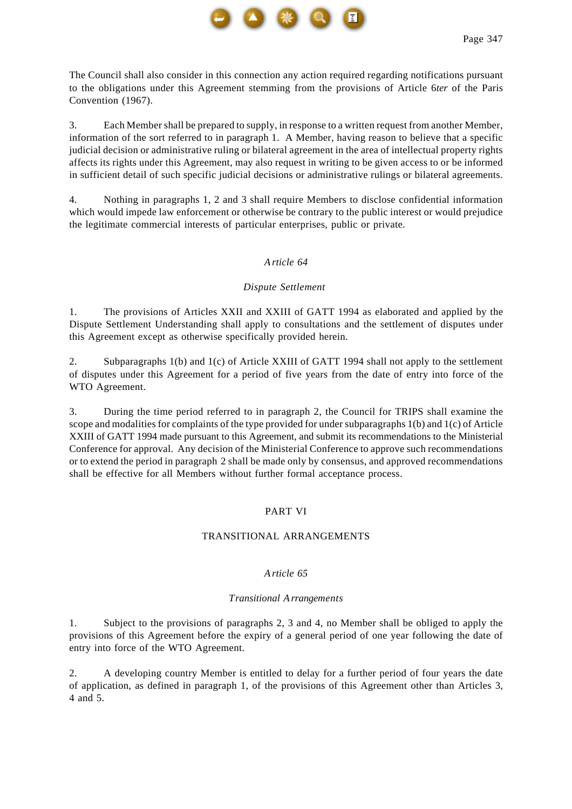

The Council shall also consider in this connection any action required regarding notifications pursuant to the obligations under this Agreement stemming from the provisions of Article 6*ter* of the Paris Convention (1967).

3. Each Member shall be prepared to supply, in response to a written request from another Member, information of the sort referred to in paragraph 1. A Member, having reason to believe that a specific judicial decision or administrative ruling or bilateral agreement in the area of intellectual property rights affects its rights under this Agreement, may also request in writing to be given access to or be informed in sufficient detail of such specific judicial decisions or administrative rulings or bilateral agreements.

4. Nothing in paragraphs 1, 2 and 3 shall require Members to disclose confidential information which would impede law enforcement or otherwise be contrary to the public interest or would prejudice the legitimate commercial interests of particular enterprises, public or private.

# *Article 64*

# *Dispute Settlement*

1. The provisions of Articles XXII and XXIII of GATT 1994 as elaborated and applied by the Dispute Settlement Understanding shall apply to consultations and the settlement of disputes under this Agreement except as otherwise specifically provided herein.

2. Subparagraphs 1(b) and 1(c) of Article XXIII of GATT 1994 shall not apply to the settlement of disputes under this Agreement for a period of five years from the date of entry into force of the WTO Agreement.

3. During the time period referred to in paragraph 2, the Council for TRIPS shall examine the scope and modalities for complaints of the type provided for under subparagraphs 1(b) and 1(c) of Article XXIII of GATT 1994 made pursuant to this Agreement, and submit its recommendations to the Ministerial Conference for approval. Any decision of the Ministerial Conference to approve such recommendations or to extend the period in paragraph 2 shall be made only by consensus, and approved recommendations shall be effective for all Members without further formal acceptance process.

# PART VI

# TRANSITIONAL ARRANGEMENTS

# *Article 65*

# *Transitional Arrangements*

1. Subject to the provisions of paragraphs 2, 3 and 4, no Member shall be obliged to apply the provisions of this Agreement before the expiry of a general period of one year following the date of entry into force of the WTO Agreement.

2. A developing country Member is entitled to delay for a further period of four years the date of application, as defined in paragraph 1, of the provisions of this Agreement other than Articles 3, 4 and 5.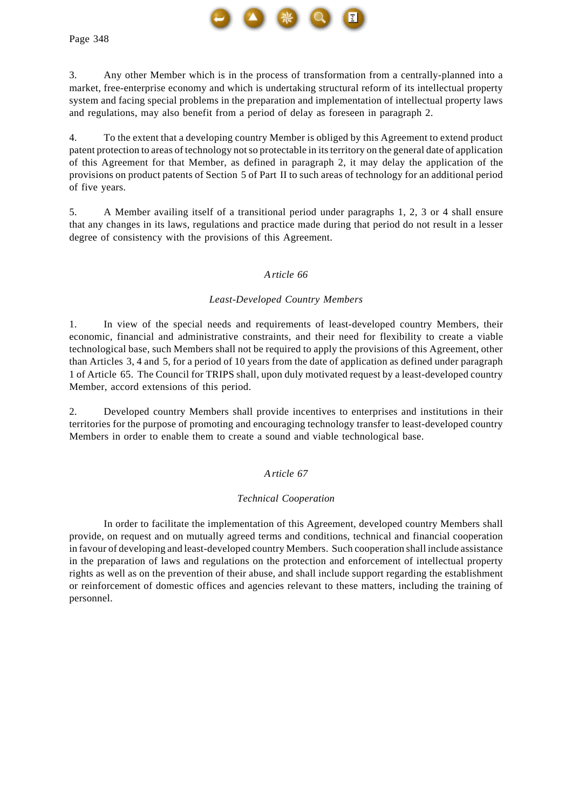

Page 348

3. Any other Member which is in the process of transformation from a centrally-planned into a market, free-enterprise economy and which is undertaking structural reform of its intellectual property system and facing special problems in the preparation and implementation of intellectual property laws and regulations, may also benefit from a period of delay as foreseen in paragraph 2.

4. To the extent that a developing country Member is obliged by this Agreement to extend product patent protection to areas of technology not so protectable in its territory on the general date of application of this Agreement for that Member, as defined in paragraph 2, it may delay the application of the provisions on product patents of Section 5 of Part II to such areas of technology for an additional period of five years.

5. A Member availing itself of a transitional period under paragraphs 1, 2, 3 or 4 shall ensure that any changes in its laws, regulations and practice made during that period do not result in a lesser degree of consistency with the provisions of this Agreement.

# *Article 66*

# *Least-Developed Country Members*

1. In view of the special needs and requirements of least-developed country Members, their economic, financial and administrative constraints, and their need for flexibility to create a viable technological base, such Members shall not be required to apply the provisions of this Agreement, other than Articles 3, 4 and 5, for a period of 10 years from the date of application as defined under paragraph 1 of Article 65. The Council for TRIPS shall, upon duly motivated request by a least-developed country Member, accord extensions of this period.

2. Developed country Members shall provide incentives to enterprises and institutions in their territories for the purpose of promoting and encouraging technology transfer to least-developed country Members in order to enable them to create a sound and viable technological base.

# *Article 67*

# *Technical Cooperation*

In order to facilitate the implementation of this Agreement, developed country Members shall provide, on request and on mutually agreed terms and conditions, technical and financial cooperation in favour of developing and least-developed country Members. Such cooperation shall include assistance in the preparation of laws and regulations on the protection and enforcement of intellectual property rights as well as on the prevention of their abuse, and shall include support regarding the establishment or reinforcement of domestic offices and agencies relevant to these matters, including the training of personnel.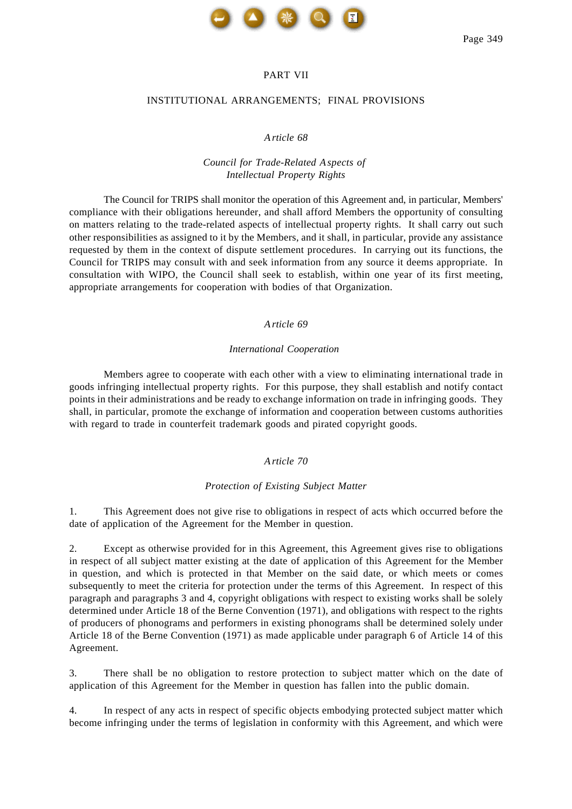

#### PART VII

# INSTITUTIONAL ARRANGEMENTS; FINAL PROVISIONS

#### *Article 68*

# *Council for Trade-Related Aspects of Intellectual Property Rights*

The Council for TRIPS shall monitor the operation of this Agreement and, in particular, Members' compliance with their obligations hereunder, and shall afford Members the opportunity of consulting on matters relating to the trade-related aspects of intellectual property rights. It shall carry out such other responsibilities as assigned to it by the Members, and it shall, in particular, provide any assistance requested by them in the context of dispute settlement procedures. In carrying out its functions, the Council for TRIPS may consult with and seek information from any source it deems appropriate. In consultation with WIPO, the Council shall seek to establish, within one year of its first meeting, appropriate arrangements for cooperation with bodies of that Organization.

### *Article 69*

#### *International Cooperation*

Members agree to cooperate with each other with a view to eliminating international trade in goods infringing intellectual property rights. For this purpose, they shall establish and notify contact points in their administrations and be ready to exchange information on trade in infringing goods. They shall, in particular, promote the exchange of information and cooperation between customs authorities with regard to trade in counterfeit trademark goods and pirated copyright goods.

### *Article 70*

#### *Protection of Existing Subject Matter*

1. This Agreement does not give rise to obligations in respect of acts which occurred before the date of application of the Agreement for the Member in question.

2. Except as otherwise provided for in this Agreement, this Agreement gives rise to obligations in respect of all subject matter existing at the date of application of this Agreement for the Member in question, and which is protected in that Member on the said date, or which meets or comes subsequently to meet the criteria for protection under the terms of this Agreement. In respect of this paragraph and paragraphs 3 and 4, copyright obligations with respect to existing works shall be solely determined under Article 18 of the Berne Convention (1971), and obligations with respect to the rights of producers of phonograms and performers in existing phonograms shall be determined solely under Article 18 of the Berne Convention (1971) as made applicable under paragraph 6 of Article 14 of this Agreement.

3. There shall be no obligation to restore protection to subject matter which on the date of application of this Agreement for the Member in question has fallen into the public domain.

4. In respect of any acts in respect of specific objects embodying protected subject matter which become infringing under the terms of legislation in conformity with this Agreement, and which were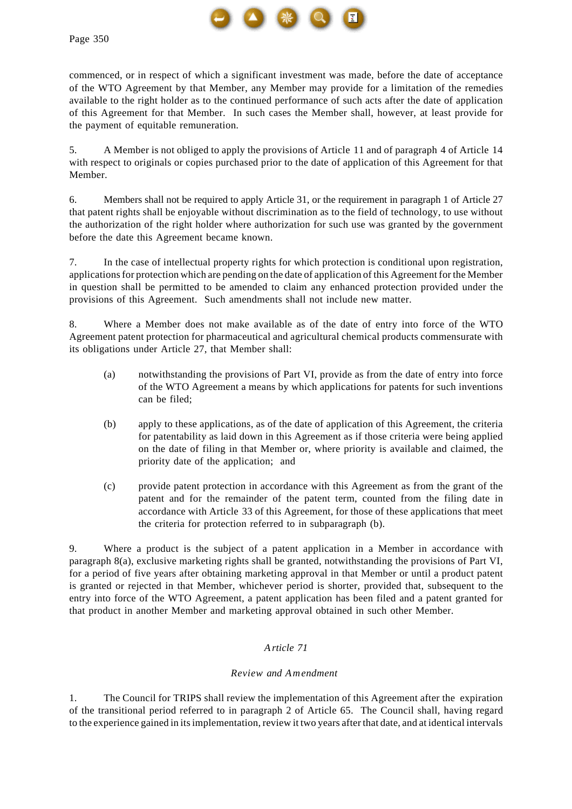

commenced, or in respect of which a significant investment was made, before the date of acceptance of the WTO Agreement by that Member, any Member may provide for a limitation of the remedies available to the right holder as to the continued performance of such acts after the date of application of this Agreement for that Member. In such cases the Member shall, however, at least provide for the payment of equitable remuneration.

5. A Member is not obliged to apply the provisions of Article 11 and of paragraph 4 of Article 14 with respect to originals or copies purchased prior to the date of application of this Agreement for that Member.

6. Members shall not be required to apply Article 31, or the requirement in paragraph 1 of Article 27 that patent rights shall be enjoyable without discrimination as to the field of technology, to use without the authorization of the right holder where authorization for such use was granted by the government before the date this Agreement became known.

7. In the case of intellectual property rights for which protection is conditional upon registration, applications for protection which are pending on the date of application of this Agreement for the Member in question shall be permitted to be amended to claim any enhanced protection provided under the provisions of this Agreement. Such amendments shall not include new matter.

8. Where a Member does not make available as of the date of entry into force of the WTO Agreement patent protection for pharmaceutical and agricultural chemical products commensurate with its obligations under Article 27, that Member shall:

- (a) notwithstanding the provisions of Part VI, provide as from the date of entry into force of the WTO Agreement a means by which applications for patents for such inventions can be filed;
- (b) apply to these applications, as of the date of application of this Agreement, the criteria for patentability as laid down in this Agreement as if those criteria were being applied on the date of filing in that Member or, where priority is available and claimed, the priority date of the application; and
- (c) provide patent protection in accordance with this Agreement as from the grant of the patent and for the remainder of the patent term, counted from the filing date in accordance with Article 33 of this Agreement, for those of these applications that meet the criteria for protection referred to in subparagraph (b).

9. Where a product is the subject of a patent application in a Member in accordance with paragraph 8(a), exclusive marketing rights shall be granted, notwithstanding the provisions of Part VI, for a period of five years after obtaining marketing approval in that Member or until a product patent is granted or rejected in that Member, whichever period is shorter, provided that, subsequent to the entry into force of the WTO Agreement, a patent application has been filed and a patent granted for that product in another Member and marketing approval obtained in such other Member.

# *Article 71*

# *Review and Amendment*

1. The Council for TRIPS shall review the implementation of this Agreement after the expiration of the transitional period referred to in paragraph 2 of Article 65. The Council shall, having regard to the experience gained in its implementation, review it two years after that date, and at identical intervals